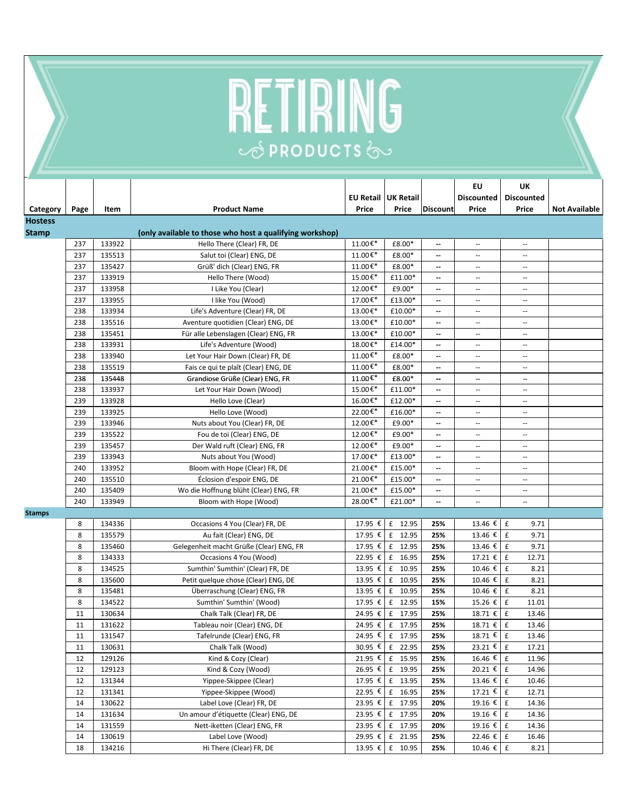## **RETIRING**

|                |      |        |                                                          |                               |                 |                          | EU                       | UK                          |                      |
|----------------|------|--------|----------------------------------------------------------|-------------------------------|-----------------|--------------------------|--------------------------|-----------------------------|----------------------|
|                |      |        |                                                          | EU Retail UK Retail           |                 |                          | <b>Discounted</b>        | <b>Discounted</b>           |                      |
| Category       | Page | Item   | <b>Product Name</b>                                      | Price                         | Price           | <b>Discount</b>          | Price                    | Price                       | <b>Not Available</b> |
| <b>Hostess</b> |      |        |                                                          |                               |                 |                          |                          |                             |                      |
| <b>Stamp</b>   |      |        | (only available to those who host a qualifying workshop) |                               |                 |                          |                          |                             |                      |
|                | 237  | 133922 | Hello There (Clear) FR, DE                               | $11.00 \overline{\epsilon^*}$ | £8.00*          | --                       | $\overline{\phantom{a}}$ | $\overline{\phantom{a}}$    |                      |
|                | 237  | 135513 | Salut toi (Clear) ENG, DE                                | 11.00€*                       | £8.00*          | --                       | $\overline{\phantom{m}}$ | $\overline{\phantom{a}}$    |                      |
|                | 237  | 135427 | Grüß' dich (Clear) ENG, FR                               | 11.00€*                       | £8.00*          | --                       | $\overline{\phantom{a}}$ | $\sim$                      |                      |
|                | 237  | 133919 | Hello There (Wood)                                       | 15.00€*                       | £11.00*         | --                       | $\overline{\phantom{a}}$ | $\sim$                      |                      |
|                | 237  | 133958 | I Like You (Clear)                                       | 12.00€*                       | £9.00*          | --                       | $\mathbf{u}$             | $\sim$ $\sim$               |                      |
|                | 237  | 133955 | I like You (Wood)                                        | 17.00€*                       | £13.00*         | --                       | $\overline{\phantom{a}}$ | $\sim$                      |                      |
|                | 238  | 133934 | Life's Adventure (Clear) FR, DE                          | 13.00€*                       | £10.00*         | --                       | $\overline{\phantom{a}}$ | $\overline{\phantom{a}}$    |                      |
|                | 238  | 135516 | Aventure quotidien (Clear) ENG, DE                       | 13.00€*                       | £10.00*         | --                       | $\mathbf{u}$             | $\sim$ $\sim$               |                      |
|                | 238  | 135451 | Für alle Lebenslagen (Clear) ENG, FR                     | 13.00€*                       | £10.00*         | --                       | $\sim$                   | $\sim$ $\sim$               |                      |
|                | 238  | 133931 | Life's Adventure (Wood)                                  | 18.00€*                       | £14.00*         | --                       | $\overline{\phantom{a}}$ | $\overline{\phantom{a}}$    |                      |
|                | 238  | 133940 | Let Your Hair Down (Clear) FR, DE                        | 11.00€*                       | £8.00*          | --                       | $\overline{a}$           | $\overline{\phantom{a}}$    |                      |
|                | 238  | 135519 | Fais ce qui te plaît (Clear) ENG, DE                     | 11.00€*                       | £8.00*          | --                       | $\overline{\phantom{a}}$ | $\sim$ $\sim$               |                      |
|                | 238  | 135448 | Grandiose Grüße (Clear) ENG, FR                          | 11.00€ $*$                    | £8.00*          | --                       | $\overline{\phantom{a}}$ | $\sim$                      |                      |
|                | 238  | 133937 | Let Your Hair Down (Wood)                                | 15.00€*                       | £11.00*         | --                       | $\sim$                   | $\sim$ $\sim$               |                      |
|                | 239  | 133928 | Hello Love (Clear)                                       | 16.00€*                       | £12.00*         | --                       | $\sim$                   | $\sim$ $\sim$               |                      |
|                | 239  | 133925 | Hello Love (Wood)                                        | 22.00€*                       | £16.00*         | --                       | $\overline{a}$           | $\overline{a}$              |                      |
|                | 239  | 133946 | Nuts about You (Clear) FR, DE                            | 12.00€*                       | £9.00*          | --                       | $\overline{\phantom{a}}$ | $\sim$ $\sim$               |                      |
|                | 239  | 135522 | Fou de toi (Clear) ENG, DE                               | 12.00€*                       | £9.00*          | --                       | $\overline{\phantom{a}}$ | $\overline{\phantom{a}}$    |                      |
|                | 239  | 135457 | Der Wald ruft (Clear) ENG, FR                            | 12.00€*                       | £9.00*          | $\overline{\phantom{a}}$ | $\sim$                   | $\sim$ $\sim$               |                      |
|                | 239  | 133943 | Nuts about You (Wood)                                    | 17.00€*                       | £13.00*         | $\overline{\phantom{a}}$ | $\sim$                   | $\sim$ $\sim$               |                      |
|                | 240  | 133952 | Bloom with Hope (Clear) FR, DE                           | 21.00€*                       | £15.00*         | --                       | $\overline{\phantom{a}}$ | $\overline{\phantom{a}}$    |                      |
|                | 240  | 135510 | Éclosion d'espoir ENG, DE                                | 21.00€*                       | £15.00*         | --                       | $\mathbf{u}$             | $\overline{a}$              |                      |
|                | 240  | 135409 | Wo die Hoffnung blüht (Clear) ENG, FR                    | 21.00€*                       | £15.00*         | --                       | $\sim$                   | $\sim$                      |                      |
|                | 240  | 133949 | Bloom with Hope (Wood)                                   | 28.00€*                       | £21.00*         | --                       | $\overline{\phantom{a}}$ | $\sim$                      |                      |
| <b>Stamps</b>  |      |        |                                                          |                               |                 |                          |                          |                             |                      |
|                | 8    | 134336 | Occasions 4 You (Clear) FR, DE                           | 17.95 €                       | £ 12.95         | 25%                      | 13.46 €                  | $\pmb{\mathsf{f}}$<br>9.71  |                      |
|                | 8    | 135579 | Au fait (Clear) ENG, DE                                  | 17.95 €                       | £ 12.95         | 25%                      | 13.46 €                  | $\pmb{\mathsf{f}}$<br>9.71  |                      |
|                | 8    | 135460 | Gelegenheit macht Grüße (Clear) ENG, FR                  | 17.95 €                       | £ 12.95         | 25%                      | 13.46 €                  | $\pmb{\mathsf{f}}$<br>9.71  |                      |
|                | 8    | 134333 | Occasions 4 You (Wood)                                   | 22.95 €                       | £ 16.95         | 25%                      | 17.21 €                  | $\pmb{\mathsf{f}}$<br>12.71 |                      |
|                | 8    | 134525 | Sumthin' Sumthin' (Clear) FR, DE                         |                               | 13.95 € £ 10.95 | 25%                      | 10.46 €                  | $\pmb{\mathsf{f}}$<br>8.21  |                      |
|                | 8    | 135600 | Petit quelque chose (Clear) ENG, DE                      | 13.95 €                       | £ 10.95         | 25%                      | 10.46 €                  | £<br>8.21                   |                      |
|                | 8    | 135481 | Überraschung (Clear) ENG, FR                             | 13.95 €                       | f<br>10.95      | 25%                      | 10.46 €                  | $\pmb{\mathsf{f}}$<br>8.21  |                      |
|                | 8    | 134522 | Sumthin' Sumthin' (Wood)                                 |                               | 17.95 € £ 12.95 | 15%                      | 15.26 €                  | $\pmb{\mathsf{f}}$<br>11.01 |                      |
|                | 11   | 130634 | Chalk Talk (Clear) FR, DE                                | 24.95 €                       | £ 17.95         | 25%                      | 18.71 €                  | £<br>13.46                  |                      |
|                | 11   | 131622 | Tableau noir (Clear) ENG, DE                             |                               | 24.95 € £ 17.95 | 25%                      | 18.71 €                  | $\pmb{\mathsf{f}}$<br>13.46 |                      |
|                | 11   | 131547 | Tafelrunde (Clear) ENG, FR                               |                               | 24.95 € £ 17.95 | 25%                      | $18.71$ € $f$            | 13.46                       |                      |
|                | 11   | 130631 | Chalk Talk (Wood)                                        |                               | 30.95 € £ 22.95 | 25%                      | 23.21 € E                | 17.21                       |                      |
|                | 12   | 129126 | Kind & Cozy (Clear)                                      |                               | 21.95 € £ 15.95 | 25%                      | 16.46 €                  | 11.96<br>£                  |                      |
|                | 12   | 129123 | Kind & Cozy (Wood)                                       |                               | 26.95 € £ 19.95 | 25%                      | 20.21 €                  | E<br>14.96                  |                      |
|                | 12   | 131344 | Yippee-Skippee (Clear)                                   |                               | 17.95 € £ 13.95 | 25%                      | 13.46 €                  | £<br>10.46                  |                      |
|                | 12   | 131341 | Yippee-Skippee (Wood)                                    |                               | 22.95 € £ 16.95 | 25%                      | 17.21 €                  | E<br>12.71                  |                      |
|                | 14   | 130622 | Label Love (Clear) FR, DE                                |                               | 23.95 € £ 17.95 | 20%                      | $19.16 \t{ε}$ £          | 14.36                       |                      |
|                | 14   | 131634 | Un amour d'étiquette (Clear) ENG, DE                     |                               | 23.95 € £ 17.95 | 20%                      | 19.16 €                  | $\mathbf f$<br>14.36        |                      |
|                | 14   | 131559 | Nett-iketten (Clear) ENG, FR                             |                               | 23.95 € £ 17.95 | 20%                      | 19.16 €                  | $\mathbf f$<br>14.36        |                      |
|                | 14   | 130619 | Label Love (Wood)                                        |                               | 29.95 € £ 21.95 | 25%                      | 22.46 €                  | £<br>16.46                  |                      |
|                | 18   | 134216 | Hi There (Clear) FR, DE                                  |                               | 13.95 € £ 10.95 | 25%                      | $10.46 \t∈$              | £<br>8.21                   |                      |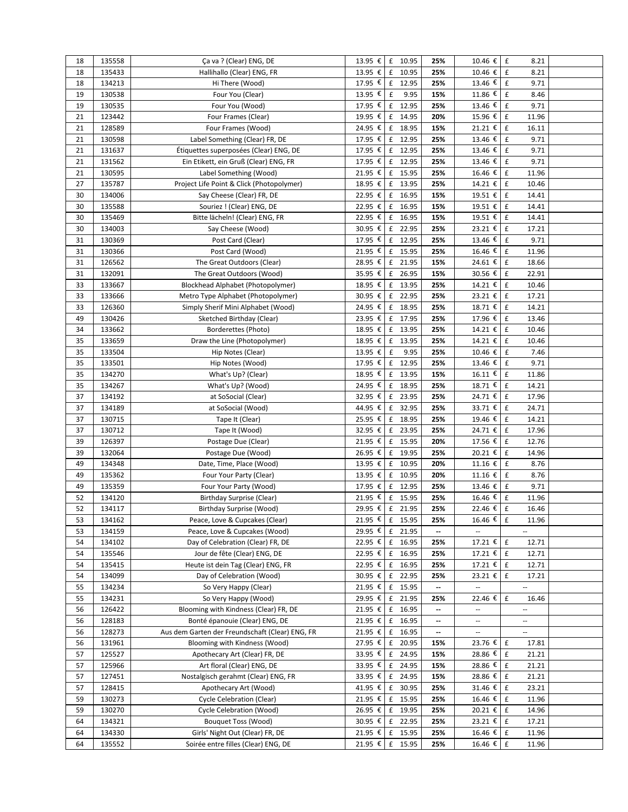| 18 | 135558           | Ça va ? (Clear) ENG, DE                         | 13.95 € £ 10.95 |                    |         | 25% | 10.46 $\epsilon$ f          | 8.21                        |  |
|----|------------------|-------------------------------------------------|-----------------|--------------------|---------|-----|-----------------------------|-----------------------------|--|
| 18 | 135433           | Hallihallo (Clear) ENG, FR                      | 13.95 €         |                    | £ 10.95 | 25% | 10.46 €                     | $\pmb{\mathsf{f}}$<br>8.21  |  |
| 18 | 134213           | Hi There (Wood)                                 | 17.95 € f 12.95 |                    |         | 25% | 13.46 €                     | $\mathbf f$<br>9.71         |  |
| 19 | 130538           | Four You (Clear)                                | 13.95 €         | $\pmb{\mathsf{f}}$ | 9.95    | 15% | 11.86 $\overline{\epsilon}$ | £<br>8.46                   |  |
| 19 | 130535           | Four You (Wood)                                 | 17.95 €         |                    | £ 12.95 | 25% | 13.46 €                     | 9.71<br>£                   |  |
| 21 | 123442           | Four Frames (Clear)                             | 19.95 €         |                    | £ 14.95 | 20% | 15.96 €                     | $\mathbf f$<br>11.96        |  |
| 21 | 128589           | Four Frames (Wood)                              | 24.95 € £ 18.95 |                    |         | 15% | 21.21 €                     | $\pounds$<br>16.11          |  |
| 21 | 130598           | Label Something (Clear) FR, DE                  | 17.95 € £ 12.95 |                    |         | 25% | 13.46 €                     | £<br>9.71                   |  |
| 21 | 131637           | Étiquettes superposées (Clear) ENG, DE          | 17.95 € £ 12.95 |                    |         | 25% | $13.46 \t€$                 | $\pmb{\mathsf{f}}$<br>9.71  |  |
| 21 | 131562           | Ein Etikett, ein Gruß (Clear) ENG, FR           | 17.95 € £ 12.95 |                    |         | 25% | 13.46 €                     | f<br>9.71                   |  |
| 21 | 130595           | Label Something (Wood)                          | 21.95 € £ 15.95 |                    |         | 25% | 16.46 €                     | f<br>11.96                  |  |
| 27 | 135787           | Project Life Point & Click (Photopolymer)       | 18.95 € £ 13.95 |                    |         | 25% | 14.21 € £                   | 10.46                       |  |
| 30 | 134006           | Say Cheese (Clear) FR, DE                       | 22.95 € £ 16.95 |                    |         | 15% | 19.51 € E                   | 14.41                       |  |
| 30 | 135588           | Souriez ! (Clear) ENG, DE                       | 22.95 € £ 16.95 |                    |         | 15% | 19.51 €                     | $\pmb{\mathsf{f}}$<br>14.41 |  |
| 30 | 135469           | Bitte lächeln! (Clear) ENG, FR                  | 22.95 €         |                    | £ 16.95 | 15% | $19.51$ €                   | $\pmb{\mathsf{f}}$<br>14.41 |  |
| 30 | 134003           | Say Cheese (Wood)                               | 30.95 € £ 22.95 |                    |         | 25% | 23.21 €                     | $\pmb{\mathsf{f}}$<br>17.21 |  |
| 31 | 130369           | Post Card (Clear)                               | 17.95 € £ 12.95 |                    |         | 25% | 13.46 $\epsilon$            | f<br>9.71                   |  |
| 31 | 130366           | Post Card (Wood)                                | 21.95 € £ 15.95 |                    |         | 25% | 16.46 € £                   | 11.96                       |  |
| 31 | 126562           | The Great Outdoors (Clear)                      | 28.95 €         |                    | £ 21.95 | 15% | 24.61 €                     | $\pmb{\mathsf{f}}$<br>18.66 |  |
| 31 | 132091           | The Great Outdoors (Wood)                       | 35.95 € £ 26.95 |                    |         | 15% | 30.56 € £                   | 22.91                       |  |
| 33 | 133667           | Blockhead Alphabet (Photopolymer)               | 18.95 € £ 13.95 |                    |         | 25% | 14.21 € E                   | 10.46                       |  |
| 33 | 133666           | Metro Type Alphabet (Photopolymer)              | 30.95 € £ 22.95 |                    |         | 25% | 23.21 € f                   | 17.21                       |  |
| 33 | 126360           | Simply Sherif Mini Alphabet (Wood)              | 24.95 € £ 18.95 |                    |         | 25% | 18.71 € $f$                 | 14.21                       |  |
| 49 | 130426           | Sketched Birthday (Clear)                       | 23.95 € £ 17.95 |                    |         | 25% | 17.96 € E                   | 13.46                       |  |
| 34 | 133662           | Borderettes (Photo)                             | 18.95 € £ 13.95 |                    |         | 25% | 14.21 €                     | $\mathbf f$<br>10.46        |  |
| 35 | 133659           | Draw the Line (Photopolymer)                    | 18.95 €         |                    | £ 13.95 | 25% | 14.21 €                     | $\pmb{\mathsf{f}}$<br>10.46 |  |
| 35 | 133504           | Hip Notes (Clear)                               | 13.95 €         | $\pmb{\mathsf{f}}$ | 9.95    | 25% | $10.46 \t∈$                 | f<br>7.46                   |  |
| 35 |                  |                                                 | 17.95 € £ 12.95 |                    |         | 25% | 13.46 €                     | f<br>9.71                   |  |
| 35 | 133501<br>134270 | Hip Notes (Wood)                                | 18.95 €         |                    | £ 13.95 | 15% | $16.11 \t\t\epsilon$ f      | 11.86                       |  |
| 35 | 134267           | What's Up? (Clear)                              | 24.95 €         |                    | £ 18.95 | 25% | 18.71 €                     | $\pmb{\mathsf{f}}$<br>14.21 |  |
|    |                  | What's Up? (Wood)                               |                 |                    |         |     | 24.71 € £                   |                             |  |
| 37 | 134192           | at SoSocial (Clear)                             | 32.95 € £ 23.95 |                    |         | 25% |                             | 17.96                       |  |
| 37 | 134189           | at SoSocial (Wood)                              | 44.95 € £ 32.95 |                    |         | 25% | 33.71 $\overline{\epsilon}$ | $\pounds$<br>24.71          |  |
| 37 | 130715           | Tape It (Clear)                                 | 25.95 € £ 18.95 |                    |         | 25% | 19.46 €                     | f<br>14.21                  |  |
| 37 | 130712           | Tape It (Wood)                                  | 32.95 € £ 23.95 |                    |         | 25% | 24.71 € £                   | 17.96                       |  |
| 39 | 126397           | Postage Due (Clear)                             | 21.95 € £ 15.95 |                    |         | 20% | 17.56 €                     | 12.76<br>f                  |  |
| 39 | 132064           | Postage Due (Wood)                              | 26.95 € £ 19.95 |                    |         | 25% | 20.21 €                     | $\pmb{\mathsf{f}}$<br>14.96 |  |
| 49 | 134348           | Date, Time, Place (Wood)                        | 13.95 € £ 10.95 |                    |         | 20% | 11.16 €                     | $\pmb{\mathsf{f}}$<br>8.76  |  |
| 49 | 135362           | Four Your Party (Clear)                         | 13.95 € £ 10.95 |                    |         | 20% | 11.16 €                     | f<br>8.76                   |  |
| 49 | 135359           | Four Your Party (Wood)                          | 17.95 € £ 12.95 |                    |         | 25% | 13.46 €                     | £<br>9.71                   |  |
| 52 | 134120           | Birthday Surprise (Clear)                       | 21.95 €         |                    | £ 15.95 | 25% | $16.46 \t∈ F$               | 11.96                       |  |
| 52 | 134117           | Birthday Surprise (Wood)                        | 29.95 € £ 21.95 |                    |         | 25% | 22.46 €                     | $\pmb{\mathsf{f}}$<br>16.46 |  |
| 53 | 134162           | Peace, Love & Cupcakes (Clear)                  | 21.95 € £ 15.95 |                    |         | 25% | 16.46 € E                   | 11.96                       |  |
| 53 | 134159           | Peace, Love & Cupcakes (Wood)                   | 29.95 € £ 21.95 |                    |         | --  |                             | Ξ.                          |  |
| 54 | 134102           | Day of Celebration (Clear) FR, DE               | 22.95 € £ 16.95 |                    |         | 25% | 17.21 € E                   | 12.71                       |  |
| 54 | 135546           | Jour de fête (Clear) ENG, DE                    | 22.95 € £ 16.95 |                    |         | 25% | 17.21 € E                   | 12.71                       |  |
| 54 | 135415           | Heute ist dein Tag (Clear) ENG, FR              | 22.95 € £ 16.95 |                    |         | 25% | 17.21 € E                   | 12.71                       |  |
| 54 | 134099           | Day of Celebration (Wood)                       | 30.95 € £ 22.95 |                    |         | 25% | 23.21 € E                   | 17.21                       |  |
| 55 | 134234           | So Very Happy (Clear)                           | 21.95 € £ 15.95 |                    |         | ۰.  | $\overline{\phantom{a}}$    | $\overline{\phantom{a}}$    |  |
| 55 | 134231           | So Very Happy (Wood)                            | 29.95 € £ 21.95 |                    |         | 25% | 22.46 €                     | $\mathbf f$<br>16.46        |  |
| 56 | 126422           | Blooming with Kindness (Clear) FR, DE           | 21.95 € £ 16.95 |                    |         | --  | $\overline{\phantom{a}}$    | ۰.                          |  |
| 56 | 128183           | Bonté épanouie (Clear) ENG, DE                  | 21.95 € £ 16.95 |                    |         | --  | $\overline{\phantom{a}}$    | ٠.                          |  |
| 56 | 128273           | Aus dem Garten der Freundschaft (Clear) ENG, FR | 21.95 € £ 16.95 |                    |         | --  |                             | Ξ.                          |  |
| 56 | 131961           | Blooming with Kindness (Wood)                   | 27.95 € £ 20.95 |                    |         | 15% | 23.76 €                     | $\pmb{\mathsf{f}}$<br>17.81 |  |
| 57 | 125527           | Apothecary Art (Clear) FR, DE                   | 33.95 € £ 24.95 |                    |         | 15% | 28.86 €                     | £<br>21.21                  |  |
| 57 | 125966           | Art floral (Clear) ENG, DE                      | 33.95 € £ 24.95 |                    |         | 15% | 28.86 €                     | f<br>21.21                  |  |
| 57 | 127451           | Nostalgisch gerahmt (Clear) ENG, FR             | 33.95 € £ 24.95 |                    |         | 15% | 28.86 € E                   | 21.21                       |  |
| 57 | 128415           | Apothecary Art (Wood)                           | 41.95 € £ 30.95 |                    |         | 25% | 31.46 € £                   | 23.21                       |  |
| 59 | 130273           | Cycle Celebration (Clear)                       | 21.95 € £ 15.95 |                    |         | 25% | 16.46 € £                   | 11.96                       |  |
| 59 | 130270           | Cycle Celebration (Wood)                        | 26.95 € £ 19.95 |                    |         | 25% | 20.21 € £                   | 14.96                       |  |
| 64 | 134321           | Bouquet Toss (Wood)                             | 30.95 € £ 22.95 |                    |         | 25% | 23.21 € £                   | 17.21                       |  |
| 64 | 134330           | Girls' Night Out (Clear) FR, DE                 | 21.95 € £ 15.95 |                    |         | 25% | 16.46 € £                   | 11.96                       |  |
| 64 | 135552           | Soirée entre filles (Clear) ENG, DE             | 21.95 € £ 15.95 |                    |         | 25% | 16.46 € £                   | 11.96                       |  |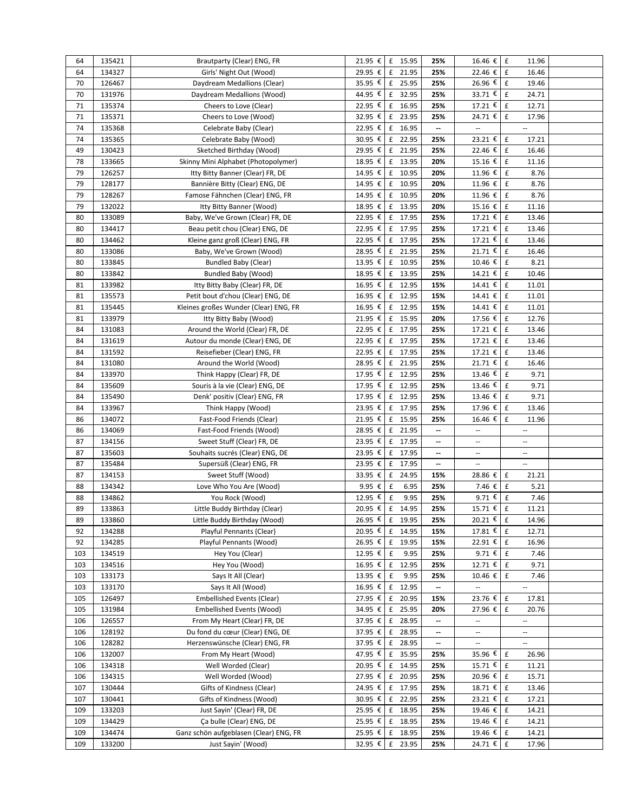| 64  | 135421 | Brautparty (Clear) ENG, FR             | 21.95 € £ 15.95 |                    |         | 25% | 16.46 € £                | 11.96                       |  |
|-----|--------|----------------------------------------|-----------------|--------------------|---------|-----|--------------------------|-----------------------------|--|
| 64  | 134327 | Girls' Night Out (Wood)                | 29.95 €         | £ 21.95            |         | 25% | 22.46 € E                | 16.46                       |  |
| 70  | 126467 | Daydream Medallions (Clear)            | 35.95 € £ 25.95 |                    |         | 25% | 26.96 €                  | $\mathbf f$<br>19.46        |  |
| 70  | 131976 | Daydream Medallions (Wood)             | 44.95 € £ 32.95 |                    |         | 25% | 33.71 $\epsilon$         | $\pmb{\mathsf{f}}$<br>24.71 |  |
| 71  | 135374 | Cheers to Love (Clear)                 | 22.95 €         |                    | £ 16.95 | 25% | 17.21 €                  | $\pmb{\mathsf{f}}$<br>12.71 |  |
| 71  | 135371 | Cheers to Love (Wood)                  | 32.95 € £ 23.95 |                    |         | 25% | 24.71 €                  | $\pmb{\mathsf{f}}$<br>17.96 |  |
| 74  | 135368 | Celebrate Baby (Clear)                 | 22.95 € £ 16.95 |                    |         | --  | $\overline{\phantom{a}}$ | Ξ.                          |  |
| 74  | 135365 | Celebrate Baby (Wood)                  | 30.95 €         |                    | £ 22.95 | 25% | 23.21 €                  | $\pmb{\mathsf{f}}$<br>17.21 |  |
| 49  | 130423 | Sketched Birthday (Wood)               | 29.95 € £ 21.95 |                    |         | 25% | 22.46 €                  | $\pounds$<br>16.46          |  |
| 78  | 133665 | Skinny Mini Alphabet (Photopolymer)    | 18.95 € £ 13.95 |                    |         | 20% | 15.16 €                  | $\,$ f<br>11.16             |  |
| 79  | 126257 | Itty Bitty Banner (Clear) FR, DE       | 14.95 € £ 10.95 |                    |         | 20% | 11.96 €                  | £<br>8.76                   |  |
| 79  | 128177 | Bannière Bitty (Clear) ENG, DE         | 14.95 € £ 10.95 |                    |         | 20% | 11.96 €                  | f<br>8.76                   |  |
| 79  | 128267 | Famose Fähnchen (Clear) ENG, FR        | 14.95 € £ 10.95 |                    |         | 20% | 11.96 €                  | $\mathbf f$<br>8.76         |  |
| 79  | 132022 | Itty Bitty Banner (Wood)               | 18.95 € £ 13.95 |                    |         | 20% | 15.16 €                  | $\mathbf f$<br>11.16        |  |
| 80  | 133089 | Baby, We've Grown (Clear) FR, DE       | 22.95 € £ 17.95 |                    |         | 25% | 17.21 €                  | $\mathbf f$<br>13.46        |  |
| 80  | 134417 | Beau petit chou (Clear) ENG, DE        | 22.95 €         |                    | £ 17.95 | 25% | 17.21 €                  | $\pmb{\mathsf{f}}$<br>13.46 |  |
| 80  | 134462 | Kleine ganz groß (Clear) ENG, FR       | 22.95 € £ 17.95 |                    |         | 25% | 17.21 €                  | $\pmb{\mathsf{f}}$<br>13.46 |  |
| 80  | 133086 | Baby, We've Grown (Wood)               | 28.95 € £ 21.95 |                    |         | 25% | 21.71 €                  | $\pmb{\mathsf{f}}$<br>16.46 |  |
| 80  | 133845 | Bundled Baby (Clear)                   | 13.95 €         |                    | £ 10.95 | 25% | 10.46 €                  | £<br>8.21                   |  |
| 80  | 133842 | Bundled Baby (Wood)                    | 18.95 € f 13.95 |                    |         | 25% | $14.21 \t∈$              | $\mathbf f$<br>10.46        |  |
| 81  | 133982 | Itty Bitty Baby (Clear) FR, DE         | 16.95 € £ 12.95 |                    |         | 15% | 14.41 $\epsilon$         | $\pounds$<br>11.01          |  |
| 81  | 135573 | Petit bout d'chou (Clear) ENG, DE      | 16.95 € £ 12.95 |                    |         | 15% | $14.41 \t€$              | $\pmb{\mathsf{f}}$<br>11.01 |  |
| 81  | 135445 | Kleines großes Wunder (Clear) ENG, FR  | 16.95 € f 12.95 |                    |         | 15% | 14.41 € $f$              | 11.01                       |  |
| 81  | 133979 | Itty Bitty Baby (Wood)                 | 21.95 € £ 15.95 |                    |         | 20% | 17.56 € $E$              | 12.76                       |  |
| 84  | 131083 | Around the World (Clear) FR, DE        | 22.95 € £ 17.95 |                    |         | 25% | 17.21 €                  | 13.46<br>$\mathbf f$        |  |
| 84  | 131619 | Autour du monde (Clear) ENG, DE        | 22.95 € £ 17.95 |                    |         | 25% | 17.21 €                  | $\pmb{\mathsf{f}}$<br>13.46 |  |
| 84  | 131592 | Reisefieber (Clear) ENG, FR            | 22.95 € £ 17.95 |                    |         | 25% | 17.21 €                  | $\pmb{\mathsf{f}}$<br>13.46 |  |
| 84  | 131080 | Around the World (Wood)                | 28.95 €         |                    | £ 21.95 | 25% | 21.71 €                  | $\mathbf f$<br>16.46        |  |
| 84  | 133970 | Think Happy (Clear) FR, DE             | 17.95 € £ 12.95 |                    |         | 25% | 13.46 €                  | $\mathbf f$<br>9.71         |  |
| 84  | 135609 | Souris à la vie (Clear) ENG, DE        | 17.95 €         |                    | £ 12.95 | 25% | 13.46 €                  | £<br>9.71                   |  |
| 84  | 135490 | Denk' positiv (Clear) ENG, FR          | 17.95 € £ 12.95 |                    |         | 25% | 13.46 €                  | $\mathbf f$<br>9.71         |  |
| 84  | 133967 | Think Happy (Wood)                     | 23.95 € £ 17.95 |                    |         | 25% | 17.96 €                  | $\pmb{\mathsf{f}}$<br>13.46 |  |
| 86  | 134072 | Fast-Food Friends (Clear)              | 21.95 € £ 15.95 |                    |         | 25% | 16.46 €                  | £<br>11.96                  |  |
| 86  | 134069 | Fast-Food Friends (Wood)               | 28.95 € £ 21.95 |                    |         | --  | $\overline{\phantom{a}}$ | u.                          |  |
| 87  | 134156 | Sweet Stuff (Clear) FR, DE             | 23.95 € £ 17.95 |                    |         | --  | --                       | --                          |  |
| 87  | 135603 | Souhaits sucrés (Clear) ENG, DE        | 23.95 € £ 17.95 |                    |         | --  | --                       | --                          |  |
| 87  | 135484 | Supersüß (Clear) ENG, FR               | 23.95 € £ 17.95 |                    |         | --  | $\overline{\phantom{a}}$ | u.                          |  |
| 87  | 134153 | Sweet Stuff (Wood)                     | 33.95 € $f$     |                    | 24.95   | 15% | 28.86 €                  | $\mathbf f$<br>21.21        |  |
| 88  | 134342 | Love Who You Are (Wood)                | 9.95 €          | £                  | 6.95    | 25% | 7.46 €                   | £<br>5.21                   |  |
| 88  | 134862 | You Rock (Wood)                        | 12.95 € $E$     |                    | 9.95    | 25% | $9.71$ €                 | f<br>7.46                   |  |
| 89  | 133863 | Little Buddy Birthday (Clear)          | 20.95 € £ 14.95 |                    |         | 25% | 15.71 €                  | $\pmb{\mathsf{f}}$<br>11.21 |  |
| 89  | 133860 | Little Buddy Birthday (Wood)           | 26.95 € £ 19.95 |                    |         | 25% | 20.21 € £                | 14.96                       |  |
| 92  | 134288 | Playful Pennants (Clear)               | 20.95 € £ 14.95 |                    |         | 15% | 17.81 € £                | 12.71                       |  |
| 92  | 134285 | Playful Pennants (Wood)                | 26.95 € £ 19.95 |                    |         | 15% | 22.91 €                  | $\pounds$<br>16.96          |  |
| 103 | 134519 | Hey You (Clear)                        | 12.95 € £       |                    | 9.95    | 25% | 9.71 $\epsilon$          | $\mathbf f$<br>7.46         |  |
| 103 | 134516 | Hey You (Wood)                         | $16.95 \t{ε}$ £ |                    | 12.95   | 25% | 12.71 € E                | 9.71                        |  |
| 103 | 133173 | Says It All (Clear)                    | 13.95 €         | $\pmb{\mathsf{f}}$ | 9.95    | 25% | 10.46 €                  | £<br>7.46                   |  |
| 103 | 133170 | Says It All (Wood)                     | 16.95 € £ 12.95 |                    |         | --  | ä,                       | u.                          |  |
| 105 | 126497 | <b>Embellished Events (Clear)</b>      | 27.95 € £ 20.95 |                    |         | 15% | 23.76 € E                | 17.81                       |  |
| 105 | 131984 | Embellished Events (Wood)              | 34.95 € £ 25.95 |                    |         | 20% | 27.96 €                  | £<br>20.76                  |  |
| 106 | 126557 | From My Heart (Clear) FR, DE           | 37.95 € £ 28.95 |                    |         | --  | $\overline{\phantom{a}}$ | --                          |  |
| 106 | 128192 | Du fond du cœur (Clear) ENG, DE        | 37.95 € £ 28.95 |                    |         | --  | --                       | --                          |  |
| 106 | 128282 | Herzenswünsche (Clear) ENG, FR         | 37.95 € £ 28.95 |                    |         | --  |                          |                             |  |
| 106 | 132007 | From My Heart (Wood)                   | 47.95 € £ 35.95 |                    |         | 25% | 35.96 € E                | 26.96                       |  |
| 106 | 134318 | Well Worded (Clear)                    | 20.95 €         |                    | £ 14.95 | 25% | 15.71 €                  | f<br>11.21                  |  |
| 106 | 134315 | Well Worded (Wood)                     | 27.95 € £ 20.95 |                    |         | 25% | 20.96 € E                | 15.71                       |  |
| 107 | 130444 | Gifts of Kindness (Clear)              | 24.95 € £ 17.95 |                    |         | 25% | 18.71 € E                | 13.46                       |  |
| 107 | 130441 | Gifts of Kindness (Wood)               | 30.95 € £ 22.95 |                    |         | 25% | 23.21 € f                | 17.21                       |  |
| 109 | 133203 | Just Sayin' (Clear) FR, DE             | 25.95 € £ 18.95 |                    |         | 25% | 19.46 € £                | 14.21                       |  |
| 109 | 134429 | Ça bulle (Clear) ENG, DE               | 25.95 € £ 18.95 |                    |         | 25% | 19.46 € £                | 14.21                       |  |
| 109 | 134474 | Ganz schön aufgeblasen (Clear) ENG, FR | 25.95 € £ 18.95 |                    |         | 25% | 19.46 €                  | $\mathbf f$<br>14.21        |  |
| 109 | 133200 | Just Sayin' (Wood)                     | 32.95 € £ 23.95 |                    |         | 25% | 24.71 € E                | 17.96                       |  |
|     |        |                                        |                 |                    |         |     |                          |                             |  |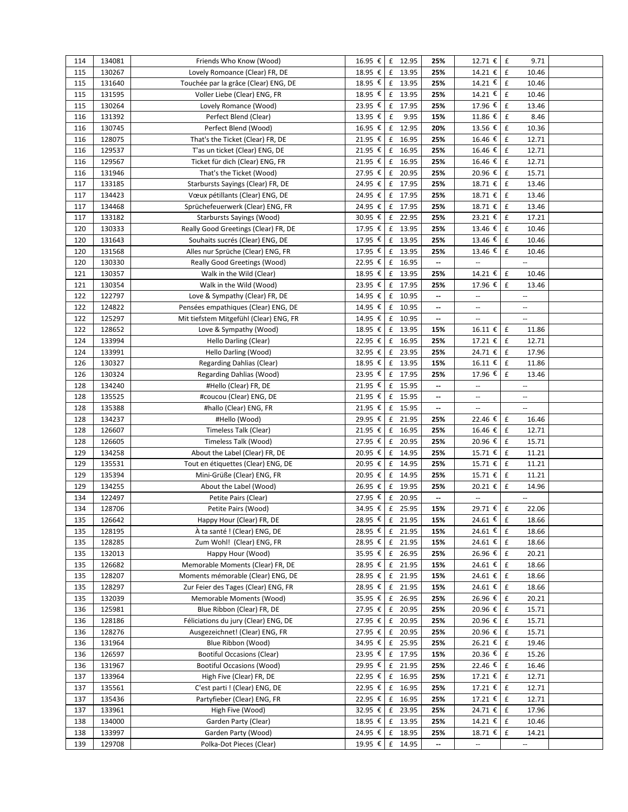| 114 | 134081 | Friends Who Know (Wood)                | 16.95 € £ 12.95 |                    |         | 25%                      | 12.71 € E                |                    | 9.71                     |  |
|-----|--------|----------------------------------------|-----------------|--------------------|---------|--------------------------|--------------------------|--------------------|--------------------------|--|
| 115 | 130267 | Lovely Romoance (Clear) FR, DE         | 18.95 €         |                    | £ 13.95 | 25%                      | 14.21 €                  | l £                | 10.46                    |  |
| 115 | 131640 | Touchée par la grâce (Clear) ENG, DE   | 18.95 €         |                    | £ 13.95 | 25%                      | 14.21€                   | $\pmb{\mathsf{f}}$ | 10.46                    |  |
| 115 | 131595 | Voller Liebe (Clear) ENG, FR           | 18.95 €         |                    | £ 13.95 | 25%                      | $14.21 \t∈$              | $\pounds$          | 10.46                    |  |
| 115 | 130264 | Lovely Romance (Wood)                  | 23.95 €         | f                  | 17.95   | 25%                      | 17.96 €                  | £                  | 13.46                    |  |
| 116 | 131392 | Perfect Blend (Clear)                  | 13.95 €         | $\pmb{\mathsf{f}}$ | 9.95    | 15%                      | $11.86 \t∈$              | $\pounds$          | 8.46                     |  |
| 116 | 130745 |                                        | 16.95 €         |                    | £ 12.95 | 20%                      | 13.56 €                  | $\mathbf f$        | 10.36                    |  |
|     |        | Perfect Blend (Wood)                   |                 |                    |         |                          |                          |                    |                          |  |
| 116 | 128075 | That's the Ticket (Clear) FR, DE       | 21.95 €         | $\mathbf f$        | 16.95   | 25%                      | 16.46 €                  | $\mathbf f$        | 12.71                    |  |
| 116 | 129537 | T'as un ticket (Clear) ENG, DE         | 21.95 € £ 16.95 |                    |         | 25%                      | 16.46 €                  | $\pmb{\mathsf{f}}$ | 12.71                    |  |
| 116 | 129567 | Ticket für dich (Clear) ENG, FR        | 21.95 € £ 16.95 |                    |         | 25%                      | 16.46 €                  | $\pmb{\mathsf{f}}$ | 12.71                    |  |
| 116 | 131946 | That's the Ticket (Wood)               | 27.95 € £ 20.95 |                    |         | 25%                      | 20.96 €                  | $\pmb{\mathsf{f}}$ | 15.71                    |  |
| 117 | 133185 | Starbursts Sayings (Clear) FR, DE      | 24.95 €         |                    | £ 17.95 | 25%                      | 18.71 €                  | $\mathbf f$        | 13.46                    |  |
| 117 | 134423 | Vœux pétillants (Clear) ENG, DE        | 24.95 € £ 17.95 |                    |         | 25%                      | 18.71 €                  | $\mathbf f$        | 13.46                    |  |
| 117 | 134468 | Sprüchefeuerwerk (Clear) ENG, FR       | 24.95 €         |                    | £ 17.95 | 25%                      | 18.71 €                  | $\pmb{\mathsf{f}}$ | 13.46                    |  |
| 117 | 133182 | Starbursts Sayings (Wood)              | $30.95$ €       |                    | £ 22.95 | 25%                      | 23.21 €                  | $\pounds$          | 17.21                    |  |
| 120 | 130333 | Really Good Greetings (Clear) FR, DE   | 17.95 €         |                    | £ 13.95 | 25%                      | 13.46 €                  | $\mathbf f$        | 10.46                    |  |
| 120 | 131643 | Souhaits sucrés (Clear) ENG, DE        | 17.95 €         |                    | £ 13.95 | 25%                      | 13.46 €                  | $\mathbf f$        | 10.46                    |  |
| 120 | 131568 | Alles nur Sprüche (Clear) ENG, FR      | 17.95 €         |                    | £ 13.95 | 25%                      | 13.46 €                  | $\mathbf f$        | 10.46                    |  |
| 120 | 130330 | Really Good Greetings (Wood)           | 22.95 €         |                    | £ 16.95 | --                       | --                       |                    | $\cdots$                 |  |
| 121 | 130357 | Walk in the Wild (Clear)               | 18.95 €         |                    | £ 13.95 | 25%                      | 14.21 €                  | $\pmb{\mathsf{f}}$ | 10.46                    |  |
| 121 | 130354 | Walk in the Wild (Wood)                | 23.95 €         |                    | £ 17.95 | 25%                      | 17.96 €                  | $\pmb{\mathsf{f}}$ | 13.46                    |  |
| 122 | 122797 | Love & Sympathy (Clear) FR, DE         | 14.95 €         |                    | £ 10.95 | $\overline{\phantom{a}}$ | --                       |                    | --                       |  |
| 122 | 124822 | Pensées empathiques (Clear) ENG, DE    | 14.95 € £ 10.95 |                    |         | --                       | $\overline{\phantom{a}}$ |                    | $\overline{\phantom{a}}$ |  |
| 122 | 125297 | Mit tiefstem Mitgefühl (Clear) ENG, FR | 14.95 € £ 10.95 |                    |         | --                       | $\overline{\phantom{a}}$ |                    | $\cdots$                 |  |
| 122 | 128652 |                                        | 18.95 €         |                    | £ 13.95 | 15%                      | 16.11 €                  | $\,$ f             | 11.86                    |  |
|     |        | Love & Sympathy (Wood)                 | 22.95 € £ 16.95 |                    |         |                          |                          | $\pounds$          |                          |  |
| 124 | 133994 | Hello Darling (Clear)                  |                 |                    |         | 25%                      | 17.21 €                  |                    | 12.71                    |  |
| 124 | 133991 | Hello Darling (Wood)                   | 32.95 € £ 23.95 |                    |         | 25%                      | 24.71 €                  | $\pounds$          | 17.96                    |  |
| 126 | 130327 | Regarding Dahlias (Clear)              | 18.95 €         |                    | £ 13.95 | 15%                      | 16.11 €                  | $\mathbf f$        | 11.86                    |  |
| 126 | 130324 | Regarding Dahlias (Wood)               | 23.95 €         |                    | £ 17.95 | 25%                      | 17.96 €                  | $\pmb{\mathsf{f}}$ | 13.46                    |  |
| 128 | 134240 | #Hello (Clear) FR, DE                  | 21.95 €         |                    | £ 15.95 | --                       | $\overline{\phantom{a}}$ |                    | $\overline{\phantom{a}}$ |  |
| 128 | 135525 | #coucou (Clear) ENG, DE                | 21.95 €         |                    | £ 15.95 | --                       | $\overline{a}$           |                    | $\overline{\phantom{a}}$ |  |
| 128 | 135388 | #hallo (Clear) ENG, FR                 | 21.95 € £ 15.95 |                    |         | --                       | $\overline{\phantom{a}}$ |                    | $\overline{\phantom{a}}$ |  |
| 128 | 134237 | #Hello (Wood)                          | 29.95 €         |                    | £ 21.95 | 25%                      | 22.46 €                  | £                  | 16.46                    |  |
| 128 | 126607 | Timeless Talk (Clear)                  | 21.95 €         |                    | £ 16.95 | 25%                      | 16.46 €                  | $\,$ f             | 12.71                    |  |
| 128 | 126605 | Timeless Talk (Wood)                   | 27.95 € £ 20.95 |                    |         | 25%                      | 20.96 €                  | $\mathbf f$        | 15.71                    |  |
| 129 | 134258 | About the Label (Clear) FR, DE         | 20.95 €         |                    | £ 14.95 | 25%                      | 15.71 €                  | $\pmb{\mathsf{f}}$ | 11.21                    |  |
| 129 | 135531 | Tout en étiquettes (Clear) ENG, DE     | 20.95 €         |                    | £ 14.95 | 25%                      | 15.71 €                  | $\pmb{\mathsf{f}}$ | 11.21                    |  |
| 129 | 135394 | Mini-Grüße (Clear) ENG, FR             | 20.95 € £ 14.95 |                    |         | 25%                      | 15.71 €                  | $\mathbf f$        | 11.21                    |  |
| 129 | 134255 | About the Label (Wood)                 | 26.95 €         |                    | £ 19.95 | 25%                      | 20.21 €                  | £                  | 14.96                    |  |
| 134 | 122497 | Petite Pairs (Clear)                   | 27.95 € £ 20.95 |                    |         | --                       | $\overline{\phantom{a}}$ |                    | Ξ.                       |  |
| 134 | 128706 | Petite Pairs (Wood)                    | 34.95 € £ 25.95 |                    |         | 15%                      | 29.71 € £                |                    | 22.06                    |  |
| 135 | 126642 | Happy Hour (Clear) FR, DE              | 28.95 € £ 21.95 |                    |         | 15%                      | 24.61 €                  | $\,$ f             | 18.66                    |  |
| 135 | 128195 | À ta santé ! (Clear) ENG, DE           | 28.95 €         |                    | £ 21.95 | 15%                      | 24.61 €                  | f                  | 18.66                    |  |
| 135 | 128285 | Zum Wohl! (Clear) ENG, FR              | 28.95 €         |                    | £ 21.95 | 15%                      | 24.61 €                  | E                  | 18.66                    |  |
| 135 | 132013 | Happy Hour (Wood)                      | 35.95 €         |                    | £ 26.95 | 25%                      | 26.96 €                  | $\mathbf f$        | 20.21                    |  |
| 135 | 126682 | Memorable Moments (Clear) FR, DE       | 28.95 €         |                    | £ 21.95 | 15%                      | 24.61 €                  | $\mathbf{f}$       | 18.66                    |  |
| 135 | 128207 | Moments mémorable (Clear) ENG, DE      | 28.95 €         | f                  | 21.95   | 15%                      | 24.61 €                  | $\mathbf f$        | 18.66                    |  |
|     | 128297 | Zur Feier des Tages (Clear) ENG, FR    | 28.95 € £ 21.95 |                    |         |                          | 24.61 €                  | $\mathbf f$        |                          |  |
| 135 |        |                                        | 35.95 € £ 26.95 |                    |         | 15%                      | 26.96€                   | $\mathbf f$        | 18.66                    |  |
| 135 | 132039 | Memorable Moments (Wood)               |                 |                    |         | 25%                      |                          |                    | 20.21                    |  |
| 136 | 125981 | Blue Ribbon (Clear) FR, DE             | 27.95 € £ 20.95 |                    |         | 25%                      | 20.96 €                  | £                  | 15.71                    |  |
| 136 | 128186 | Féliciations du jury (Clear) ENG, DE   | 27.95 € £ 20.95 |                    |         | 25%                      | 20.96 €                  | f                  | 15.71                    |  |
| 136 | 128276 | Ausgezeichnet! (Clear) ENG, FR         | 27.95 €         |                    | £ 20.95 | 25%                      | 20.96 €                  | £                  | 15.71                    |  |
|     |        |                                        |                 |                    | £ 25.95 | 25%                      | 26.21 €                  | $\pmb{\mathsf{f}}$ | 19.46                    |  |
| 136 | 131964 | Blue Ribbon (Wood)                     | 34.95 €         |                    |         |                          |                          |                    |                          |  |
| 136 | 126597 | <b>Bootiful Occasions (Clear)</b>      | $23.95 \t∈$     |                    | £ 17.95 | 15%                      | 20.36 €                  | $\mathbf{f}$       | 15.26                    |  |
| 136 | 131967 | <b>Bootiful Occasions (Wood)</b>       | 29.95 €         |                    | £ 21.95 | 25%                      | 22.46 €                  | $\mathbf f$        | 16.46                    |  |
| 137 | 133964 | High Five (Clear) FR, DE               | 22.95 €         |                    | £ 16.95 | 25%                      | 17.21 €                  | f                  | 12.71                    |  |
| 137 | 135561 | C'est parti ! (Clear) ENG, DE          | 22.95 €         |                    | £ 16.95 | 25%                      | 17.21 €                  | Ι£                 | 12.71                    |  |
| 137 | 135436 | Partyfieber (Clear) ENG, FR            | 22.95 €         |                    | £ 16.95 | 25%                      | 17.21 €                  | £                  | 12.71                    |  |
| 137 | 133961 | High Five (Wood)                       | 32.95 € £ 23.95 |                    |         | 25%                      | 24.71 €                  | $\pounds$          | 17.96                    |  |
| 138 | 134000 | Garden Party (Clear)                   | 18.95 € £ 13.95 |                    |         | 25%                      | 14.21 €                  | $\mathbf{f}$       | 10.46                    |  |
| 138 | 133997 | Garden Party (Wood)                    | 24.95 €         |                    | £ 18.95 | 25%                      | 18.71 €                  | f                  | 14.21                    |  |
| 139 | 129708 | Polka-Dot Pieces (Clear)               | 19.95 € £ 14.95 |                    |         | --                       | $\overline{\phantom{a}}$ |                    | $\overline{\phantom{a}}$ |  |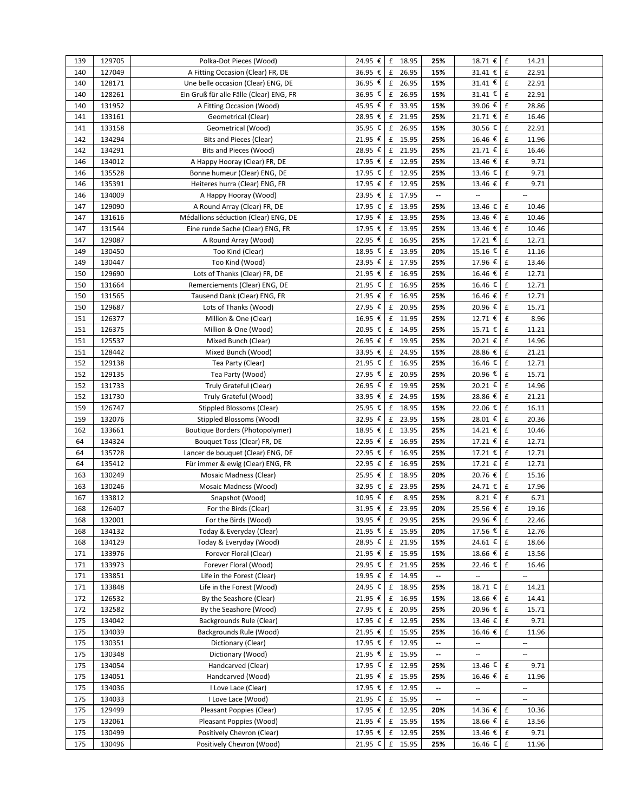| 139 | 129705 | Polka-Dot Pieces (Wood)                 | 24.95 € £ 18.95 |                                    | 25%                      | 18.71 € E                     | 14.21                       |  |
|-----|--------|-----------------------------------------|-----------------|------------------------------------|--------------------------|-------------------------------|-----------------------------|--|
| 140 | 127049 | A Fitting Occasion (Clear) FR, DE       | 36.95 €         | 26.95<br>£                         | 15%                      | 31.41 €                       | $\pmb{\mathsf{f}}$<br>22.91 |  |
| 140 | 128171 | Une belle occasion (Clear) ENG, DE      | 36.95 €         | $\ensuremath{\mathsf{f}}$<br>26.95 | 15%                      | 31.41 $\epsilon$              | $\pmb{\mathsf{f}}$<br>22.91 |  |
| 140 | 128261 | Ein Gruß für alle Fälle (Clear) ENG, FR | 36.95 €         | f<br>26.95                         | 15%                      | 31.41 $\overline{\epsilon}$   | $\pmb{\mathsf{f}}$<br>22.91 |  |
| 140 | 131952 | A Fitting Occasion (Wood)               | 45.95 €         | $\mathbf f$<br>33.95               | 15%                      | 39.06 €                       | $\mathbf f$<br>28.86        |  |
| 141 | 133161 | Geometrical (Clear)                     | 28.95 €         | f<br>21.95                         | 25%                      | 21.71 €                       | $\pounds$<br>16.46          |  |
| 141 | 133158 | Geometrical (Wood)                      | 35.95 €         | $\,$ f<br>26.95                    | 15%                      | 30.56 €                       | $\pounds$<br>22.91          |  |
| 142 | 134294 | Bits and Pieces (Clear)                 | 21.95 €         | £ 15.95                            | 25%                      | 16.46 €                       | $\mathbf f$<br>11.96        |  |
| 142 | 134291 | Bits and Pieces (Wood)                  | 28.95 € £ 21.95 |                                    | 25%                      | 21.71 €                       | $\pmb{\mathsf{f}}$<br>16.46 |  |
| 146 | 134012 | A Happy Hooray (Clear) FR, DE           | 17.95 €         | f<br>12.95                         | 25%                      | 13.46 $\boldsymbol{\epsilon}$ | $\mathbf f$<br>9.71         |  |
| 146 | 135528 | Bonne humeur (Clear) ENG, DE            | 17.95 €         | £ 12.95                            | 25%                      | 13.46 €                       | $\mathbf f$<br>9.71         |  |
| 146 | 135391 | Heiteres hurra (Clear) ENG, FR          | 17.95 €         | £ 12.95                            | 25%                      | 13.46 €                       | $\mathbf f$<br>9.71         |  |
| 146 | 134009 | A Happy Hooray (Wood)                   | 23.95 €         | 17.95<br>f                         | --                       |                               | $\overline{\phantom{a}}$    |  |
| 147 | 129090 | A Round Array (Clear) FR, DE            | 17.95 €         | £ 13.95                            | 25%                      | 13.46 €                       | $\pmb{\mathsf{f}}$<br>10.46 |  |
| 147 | 131616 | Médallions séduction (Clear) ENG, DE    | 17.95 €         | £ 13.95                            | 25%                      | $13.46 \t\t\t{€}$             | $\pmb{\mathrm{f}}$<br>10.46 |  |
| 147 | 131544 | Eine runde Sache (Clear) ENG, FR        | 17.95 €         | f<br>13.95                         | 25%                      | 13.46 €                       | $\mathbf f$<br>10.46        |  |
| 147 | 129087 | A Round Array (Wood)                    | 22.95 €         | £ 16.95                            | 25%                      | 17.21 €                       | $\pounds$<br>12.71          |  |
| 149 | 130450 | Too Kind (Clear)                        | 18.95 €         | $\mathbf f$<br>13.95               | 20%                      | 15.16 €                       | $\pounds$<br>11.16          |  |
| 149 | 130447 | Too Kind (Wood)                         | 23.95 €         | £ 17.95                            | 25%                      | 17.96 €                       | $\pmb{\mathsf{f}}$<br>13.46 |  |
|     |        |                                         | 21.95 € £ 16.95 |                                    |                          | 16.46 €                       | $\pmb{\mathsf{f}}$          |  |
| 150 | 129690 | Lots of Thanks (Clear) FR, DE           |                 |                                    | 25%                      |                               | 12.71                       |  |
| 150 | 131664 | Remerciements (Clear) ENG, DE           | 21.95 € £ 16.95 |                                    | 25%                      | 16.46 €                       | $\pounds$<br>12.71          |  |
| 150 | 131565 | Tausend Dank (Clear) ENG, FR            | 21.95 €         | £ 16.95                            | 25%                      | 16.46 €                       | $\mathbf f$<br>12.71        |  |
| 150 | 129687 | Lots of Thanks (Wood)                   | 27.95 €         | £ 20.95                            | 25%                      | 20.96 €                       | $\pounds$<br>15.71          |  |
| 151 | 126377 | Million & One (Clear)                   | $16.95 \in$     | 11.95<br>f                         | 25%                      | 12.71 €                       | $\mathbf f$<br>8.96         |  |
| 151 | 126375 | Million & One (Wood)                    | 20.95 €         | $f = 14.95$                        | 25%                      | 15.71 €                       | $\mathbf f$<br>11.21        |  |
| 151 | 125537 | Mixed Bunch (Clear)                     | 26.95 €         | £ 19.95                            | 25%                      | 20.21€                        | $\pmb{\mathsf{f}}$<br>14.96 |  |
| 151 | 128442 | Mixed Bunch (Wood)                      | 33.95 €         | $\,$ f<br>24.95                    | 15%                      | 28.86 €                       | 21.21<br>$\mathbf f$        |  |
| 152 | 129138 | Tea Party (Clear)                       | 21.95 €         | £ 16.95                            | 25%                      | 16.46 €                       | $\pmb{\mathsf{f}}$<br>12.71 |  |
| 152 | 129135 | Tea Party (Wood)                        | 27.95 €         | f<br>20.95                         | 25%                      | 20.96 $\overline{\epsilon}$   | $\mathbf f$<br>15.71        |  |
| 152 | 131733 | Truly Grateful (Clear)                  | 26.95 €         | 19.95<br>$\mathbf f$               | 25%                      | 20.21 €                       | $\pmb{\mathsf{f}}$<br>14.96 |  |
| 152 | 131730 | Truly Grateful (Wood)                   | 33.95 €         | f<br>24.95                         | 15%                      | 28.86 €                       | $\pmb{\mathsf{f}}$<br>21.21 |  |
| 159 | 126747 | <b>Stippled Blossoms (Clear)</b>        | $25.95 \t{£}$ £ | 18.95                              | 15%                      | 22.06 €                       | $\pounds$<br>16.11          |  |
| 159 | 132076 | Stippled Blossoms (Wood)                | 32.95 €         | 23.95<br>f                         | 15%                      | 28.01 €                       | $\mathbf f$<br>20.36        |  |
| 162 | 133661 | Boutique Borders (Photopolymer)         | 18.95 €         | £ 13.95                            | 25%                      | 14.21 €                       | f<br>10.46                  |  |
| 64  | 134324 | Bouquet Toss (Clear) FR, DE             | 22.95 €         | 16.95<br>f                         | 25%                      | 17.21 €                       | f<br>12.71                  |  |
| 64  | 135728 | Lancer de bouquet (Clear) ENG, DE       | 22.95 €         | £ 16.95                            | 25%                      | 17.21 €                       | $\pmb{\mathsf{f}}$<br>12.71 |  |
| 64  | 135412 | Für immer & ewig (Clear) ENG, FR        | 22.95 €         | £ 16.95                            | 25%                      | 17.21 €                       | $\pmb{\mathsf{f}}$<br>12.71 |  |
| 163 | 130249 | Mosaic Madness (Clear)                  | 25.95 €         | f<br>18.95                         | 20%                      | 20.76 €                       | $\mathbf f$<br>15.16        |  |
| 163 | 130246 | Mosaic Madness (Wood)                   | 32.95 €         | $\mathbf f$<br>23.95               | 25%                      | 24.71 €                       | f<br>17.96                  |  |
| 167 | 133812 | Snapshot (Wood)                         | 10.95 €         | £<br>8.95                          | 25%                      | 8.21 $\overline{\epsilon}$    | $\mathbf f$<br>6.71         |  |
| 168 | 126407 | For the Birds (Clear)                   | 31.95 €         | 23.95<br>$\mathbf f$               | 20%                      | $25.56 \t\epsilon$            | $\pmb{\mathsf{f}}$<br>19.16 |  |
| 168 | 132001 | For the Birds (Wood)                    | 39.95 € £ 29.95 |                                    | 25%                      | 29.96 € £                     | 22.46                       |  |
| 168 | 134132 | Today & Everyday (Clear)                | 21.95 € £ 15.95 |                                    | 20%                      | 17.56 € £                     | 12.76                       |  |
| 168 | 134129 | Today & Everyday (Wood)                 | 28.95 €         | £ 21.95                            | 15%                      | 24.61 €                       | 18.66<br>£                  |  |
| 171 | 133976 | Forever Floral (Clear)                  | 21.95 € £ 15.95 |                                    | 15%                      | 18.66 € £                     | 13.56                       |  |
| 171 | 133973 | Forever Floral (Wood)                   | 29.95 € £ 21.95 |                                    | 25%                      | 22.46 €                       | 16.46<br>£                  |  |
| 171 | 133851 | Life in the Forest (Clear)              | 19.95 €         | £ 14.95                            |                          |                               |                             |  |
| 171 | 133848 | Life in the Forest (Wood)               | 24.95 € £ 18.95 |                                    | 25%                      | 18.71 € £                     | 14.21                       |  |
| 172 | 126532 | By the Seashore (Clear)                 | 21.95 € £ 16.95 |                                    | 15%                      | 18.66 €                       | £<br>14.41                  |  |
| 172 | 132582 | By the Seashore (Wood)                  | 27.95 € £ 20.95 |                                    | 25%                      | 20.96 €                       | $\pmb{\mathsf{f}}$<br>15.71 |  |
| 175 | 134042 | Backgrounds Rule (Clear)                | 17.95 € £ 12.95 |                                    | 25%                      | 13.46 €                       | 9.71<br>£                   |  |
| 175 | 134039 | Backgrounds Rule (Wood)                 | 21.95 € £ 15.95 |                                    | 25%                      | 16.46 €                       | 11.96<br>£                  |  |
| 175 | 130351 | Dictionary (Clear)                      | 17.95 € £ 12.95 |                                    | $\overline{\phantom{a}}$ | $\overline{\phantom{a}}$      | $\mathbb{Z}^2$              |  |
| 175 | 130348 | Dictionary (Wood)                       | 21.95 € £ 15.95 |                                    | --                       | --                            | $\overline{\phantom{a}}$    |  |
| 175 | 134054 | Handcarved (Clear)                      | 17.95 € £ 12.95 |                                    | 25%                      | 13.46 €                       | $\mathbf f$<br>9.71         |  |
|     |        |                                         | 21.95 € £ 15.95 |                                    |                          |                               | £                           |  |
| 175 | 134051 | Handcarved (Wood)                       |                 |                                    | 25%                      | 16.46 €                       | 11.96                       |  |
| 175 | 134036 | I Love Lace (Clear)                     | 17.95 € £ 12.95 |                                    | --                       | $\overline{\phantom{a}}$      | $\overline{\phantom{a}}$    |  |
| 175 | 134033 | I Love Lace (Wood)                      | 21.95 €         | £ 15.95                            |                          |                               |                             |  |
| 175 | 129499 | Pleasant Poppies (Clear)                | 17.95 € £ 12.95 |                                    | 20%                      | 14.36 € £                     | 10.36                       |  |
| 175 | 132061 | Pleasant Poppies (Wood)                 | 21.95 € £ 15.95 |                                    | 15%                      | 18.66 € £                     | 13.56                       |  |
| 175 | 130499 | Positively Chevron (Clear)              | 17.95 €         | £ 12.95                            | 25%                      | 13.46 €                       | $\mathbf f$<br>9.71         |  |
| 175 | 130496 | Positively Chevron (Wood)               | 21.95 € £ 15.95 |                                    | 25%                      | 16.46 € £                     | 11.96                       |  |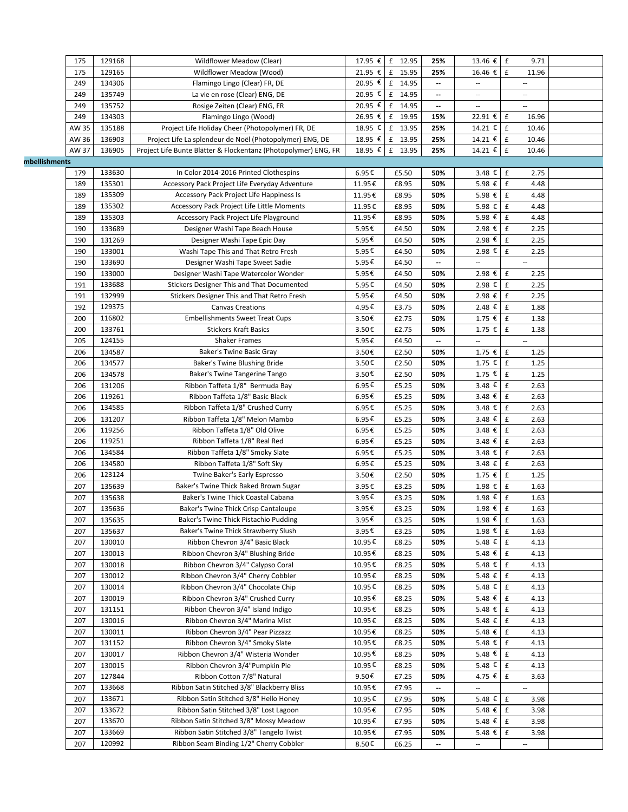|               | 175   | 129168 | Wildflower Meadow (Clear)                                       |         | 17.95 € £ 12.95      | 25%                      | 13.46 € £                | 9.71                        |  |
|---------------|-------|--------|-----------------------------------------------------------------|---------|----------------------|--------------------------|--------------------------|-----------------------------|--|
|               | 175   | 129165 | Wildflower Meadow (Wood)                                        |         | 21.95 € £ 15.95      | 25%                      | 16.46 €                  | $\pounds$<br>11.96          |  |
|               | 249   | 134306 | Flamingo Lingo (Clear) FR, DE                                   | 20.95 € | £ 14.95              | $\overline{\phantom{a}}$ | --                       | $\cdots$                    |  |
|               | 249   | 135749 | La vie en rose (Clear) ENG, DE                                  | 20.95 € | £ 14.95              |                          | --                       | $\overline{\phantom{a}}$    |  |
|               | 249   | 135752 | Rosige Zeiten (Clear) ENG, FR                                   | 20.95 € | $\mathbf f$<br>14.95 | $\overline{\phantom{a}}$ | --                       | Ξ.                          |  |
|               | 249   | 134303 | Flamingo Lingo (Wood)                                           | 26.95 € | $\mathbf f$<br>19.95 | 15%                      | 22.91 €                  | f<br>16.96                  |  |
|               | AW 35 | 135188 | Project Life Holiday Cheer (Photopolymer) FR, DE                |         | 18.95 € £ 13.95      | 25%                      | 14.21 € £                | 10.46                       |  |
|               | AW 36 | 136903 | Project Life La splendeur de Noël (Photopolymer) ENG, DE        | 18.95 € | £<br>13.95           | 25%                      | 14.21 €                  | f<br>10.46                  |  |
|               | AW 37 | 136905 | Project Life Bunte Blätter & Flockentanz (Photopolymer) ENG, FR | 18.95 € | $\mathbf f$<br>13.95 | 25%                      | 14.21 €                  | $\pmb{\mathsf{f}}$<br>10.46 |  |
| mbellishments |       |        |                                                                 |         |                      |                          |                          |                             |  |
|               | 179   | 133630 | In Color 2014-2016 Printed Clothespins                          | 6.95€   | £5.50                | 50%                      | 3.48€                    | $\mathbf f$<br>2.75         |  |
|               | 189   | 135301 | Accessory Pack Project Life Everyday Adventure                  | 11.95€  | £8.95                | 50%                      | 5.98 €                   | $\mathbf f$<br>4.48         |  |
|               | 189   | 135309 | Accessory Pack Project Life Happiness Is                        | 11.95€  | £8.95                | 50%                      | 5.98 € E                 | 4.48                        |  |
|               | 189   | 135302 | Accessory Pack Project Life Little Moments                      | 11.95€  | £8.95                | 50%                      | 5.98 €                   | $\mathbf f$<br>4.48         |  |
|               | 189   | 135303 | Accessory Pack Project Life Playground                          | 11.95€  | £8.95                | 50%                      | 5.98 €                   | $\mathbf f$<br>4.48         |  |
|               | 190   | 133689 | Designer Washi Tape Beach House                                 | 5.95€   | £4.50                | 50%                      | 2.98 €                   | $\pmb{\mathsf{f}}$<br>2.25  |  |
|               | 190   | 131269 | Designer Washi Tape Epic Day                                    | 5.95€   | £4.50                | 50%                      | 2.98 €                   | $\mathbf f$<br>2.25         |  |
|               | 190   | 133001 | Washi Tape This and That Retro Fresh                            | 5.95€   | £4.50                | 50%                      | 2.98 €                   | $\mathbf f$<br>2.25         |  |
|               | 190   | 133690 | Designer Washi Tape Sweet Sadie                                 | 5.95€   | £4.50                | $\overline{\phantom{a}}$ | --                       | $\overline{\phantom{a}}$    |  |
|               | 190   | 133000 | Designer Washi Tape Watercolor Wonder                           | 5.95€   | £4.50                | 50%                      | 2.98 €                   | $\pmb{\mathsf{f}}$<br>2.25  |  |
|               | 191   | 133688 | Stickers Designer This and That Documented                      | 5.95€   | £4.50                | 50%                      | 2.98 €                   | $\pounds$<br>2.25           |  |
|               | 191   | 132999 | Stickers Designer This and That Retro Fresh                     | 5.95€   | £4.50                | 50%                      | 2.98 €                   | £<br>2.25                   |  |
|               | 192   | 129375 | <b>Canvas Creations</b>                                         | 4.95€   | £3.75                | 50%                      | 2.48€                    | $\pmb{\mathsf{f}}$<br>1.88  |  |
|               | 200   | 116802 | <b>Embellishments Sweet Treat Cups</b>                          | 3.50€   | £2.75                | 50%                      | 1.75 € E                 | 1.38                        |  |
|               | 200   | 133761 | <b>Stickers Kraft Basics</b>                                    | 3.50€   | £2.75                | 50%                      | $1.75 \t∈$               | $\mathbf f$<br>1.38         |  |
|               | 205   | 124155 | <b>Shaker Frames</b>                                            | 5.95€   | £4.50                |                          |                          |                             |  |
|               | 206   | 134587 | Baker's Twine Basic Gray                                        | 3.50€   | £2.50                | 50%                      | 1.75 €                   | $\pounds$<br>1.25           |  |
|               | 206   | 134577 | Baker's Twine Blushing Bride                                    | 3.50€   | £2.50                | 50%                      | $1.75$ €                 | $\mathbf f$<br>1.25         |  |
|               | 206   | 134578 | Baker's Twine Tangerine Tango                                   | 3.50€   | £2.50                | 50%                      | 1.75 €                   | $\mathbf f$<br>1.25         |  |
|               | 206   | 131206 | Ribbon Taffeta 1/8" Bermuda Bay                                 | 6.95€   | £5.25                | 50%                      | $3.48 \t∈$               | $\pounds$<br>2.63           |  |
|               | 206   | 119261 | Ribbon Taffeta 1/8" Basic Black                                 | 6.95€   | £5.25                | 50%                      | 3.48 €                   | $\pmb{\mathsf{f}}$<br>2.63  |  |
|               | 206   | 134585 | Ribbon Taffeta 1/8" Crushed Curry                               | 6.95€   | £5.25                | 50%                      | 3.48 €                   | $\pounds$<br>2.63           |  |
|               | 206   | 131207 | Ribbon Taffeta 1/8" Melon Mambo                                 | 6.95€   | £5.25                | 50%                      | 3.48 €                   | £<br>2.63                   |  |
|               | 206   | 119256 | Ribbon Taffeta 1/8" Old Olive                                   | 6.95€   | £5.25                | 50%                      | 3.48 €                   | $\pmb{\mathsf{f}}$          |  |
|               |       | 119251 | Ribbon Taffeta 1/8" Real Red                                    |         |                      |                          |                          | 2.63<br>$\mathbf f$         |  |
|               | 206   |        | Ribbon Taffeta 1/8" Smoky Slate                                 | 6.95€   | £5.25                | 50%                      | 3.48€                    | 2.63                        |  |
|               | 206   | 134584 |                                                                 | 6.95€   | £5.25                | 50%                      | 3.48€                    | $\mathbf f$<br>2.63         |  |
|               | 206   | 134580 | Ribbon Taffeta 1/8" Soft Sky                                    | 6.95€   | £5.25                | 50%                      | 3.48 €                   | $\mathbf f$<br>2.63         |  |
|               | 206   | 123124 | Twine Baker's Early Espresso                                    | 3.50€   | £2.50                | 50%                      | 1.75 €                   | $\pounds$<br>1.25           |  |
|               | 207   | 135639 | Baker's Twine Thick Baked Brown Sugar                           | 3.95€   | £3.25                | 50%                      | 1.98 €                   | $\mathbf f$<br>1.63         |  |
|               | 207   | 135638 | Baker's Twine Thick Coastal Cabana                              | 3.95€   | £3.25                | 50%                      | 1.98 €                   | $\mathbf f$<br>1.63         |  |
|               | 207   | 135636 | Baker's Twine Thick Crisp Cantaloupe                            | 3.95€   | £3.25                | 50%                      | $1.98$ €                 | $\mathbf f$<br>1.63         |  |
|               | 207   | 135635 | Baker's Twine Thick Pistachio Pudding                           | 3.95€   | £3.25                | 50%                      | 1.98 € £                 | 1.63                        |  |
|               | 207   | 135637 | Baker's Twine Thick Strawberry Slush                            | 3.95€   | £3.25                | 50%                      | 1.98 €                   | $\mathbf f$<br>1.63         |  |
|               | 207   | 130010 | Ribbon Chevron 3/4" Basic Black                                 | 10.95€  | £8.25                | 50%                      | 5.48 €                   | $\mathbf f$<br>4.13         |  |
|               | 207   | 130013 | Ribbon Chevron 3/4" Blushing Bride                              | 10.95€  | £8.25                | 50%                      | 5.48 €                   | $\pmb{\mathsf{f}}$<br>4.13  |  |
|               | 207   | 130018 | Ribbon Chevron 3/4" Calypso Coral                               | 10.95€  | £8.25                | 50%                      | 5.48 € E                 | 4.13                        |  |
|               | 207   | 130012 | Ribbon Chevron 3/4" Cherry Cobbler                              | 10.95€  | £8.25                | 50%                      | 5.48 €                   | $\mathbf f$<br>4.13         |  |
|               | 207   | 130014 | Ribbon Chevron 3/4" Chocolate Chip                              | 10.95€  | £8.25                | 50%                      | 5.48 €                   | $\pmb{\mathsf{f}}$<br>4.13  |  |
|               | 207   | 130019 | Ribbon Chevron 3/4" Crushed Curry                               | 10.95€  | £8.25                | 50%                      | 5.48 €                   | f<br>4.13                   |  |
|               | 207   | 131151 | Ribbon Chevron 3/4" Island Indigo                               | 10.95€  | £8.25                | 50%                      | 5.48 €                   | $\mathbf f$<br>4.13         |  |
|               | 207   | 130016 | Ribbon Chevron 3/4" Marina Mist                                 | 10.95€  | £8.25                | 50%                      | 5.48 € E                 | 4.13                        |  |
|               | 207   | 130011 | Ribbon Chevron 3/4" Pear Pizzazz                                | 10.95€  | £8.25                | 50%                      | 5.48 € E                 | 4.13                        |  |
|               | 207   | 131152 | Ribbon Chevron 3/4" Smoky Slate                                 | 10.95€  | £8.25                | 50%                      | 5.48 €                   | $\mathbf f$<br>4.13         |  |
|               | 207   | 130017 | Ribbon Chevron 3/4" Wisteria Wonder                             | 10.95€  | £8.25                | 50%                      | 5.48 €                   | $\mathbf f$<br>4.13         |  |
|               | 207   | 130015 | Ribbon Chevron 3/4"Pumpkin Pie                                  | 10.95€  | £8.25                | 50%                      | 5.48 €                   | f<br>4.13                   |  |
|               | 207   | 127844 | Ribbon Cotton 7/8" Natural                                      | 9.50€   | £7.25                | 50%                      | 4.75 €                   | f<br>3.63                   |  |
|               | 207   | 133668 | Ribbon Satin Stitched 3/8" Blackberry Bliss                     | 10.95€  | £7.95                |                          | --                       | 4                           |  |
|               | 207   | 133671 | Ribbon Satin Stitched 3/8" Hello Honey                          | 10.95€  | £7.95                | 50%                      | 5.48 €                   | $\mathbf f$<br>3.98         |  |
|               | 207   | 133672 | Ribbon Satin Stitched 3/8" Lost Lagoon                          | 10.95€  | £7.95                | 50%                      | 5.48 €                   | $\,$ f<br>3.98              |  |
|               | 207   | 133670 | Ribbon Satin Stitched 3/8" Mossy Meadow                         | 10.95€  | £7.95                | 50%                      | 5.48 €                   | $\mathbf f$<br>3.98         |  |
|               | 207   | 133669 | Ribbon Satin Stitched 3/8" Tangelo Twist                        | 10.95€  | £7.95                | 50%                      | 5.48 €                   | $\mathbf f$<br>3.98         |  |
|               | 207   | 120992 | Ribbon Seam Binding 1/2" Cherry Cobbler                         | 8.50€   | £6.25                | $\overline{\phantom{a}}$ | $\overline{\phantom{a}}$ | $\overline{\phantom{a}}$    |  |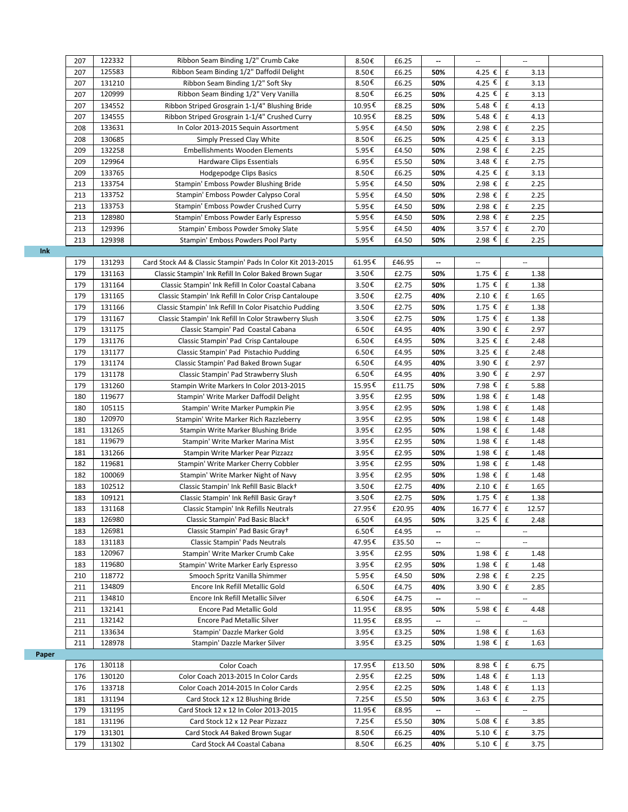|       | 207 | 122332 | Ribbon Seam Binding 1/2" Crumb Cake                              | 8.50€  | £6.25  | $\overline{\phantom{a}}$ | $\overline{\phantom{a}}$ | $\overline{\phantom{a}}$    |  |
|-------|-----|--------|------------------------------------------------------------------|--------|--------|--------------------------|--------------------------|-----------------------------|--|
|       | 207 | 125583 | Ribbon Seam Binding 1/2" Daffodil Delight                        | 8.50€  | £6.25  | 50%                      | 4.25 €                   | $\pmb{\mathsf{f}}$<br>3.13  |  |
|       | 207 | 131210 | Ribbon Seam Binding 1/2" Soft Sky                                | 8.50€  | £6.25  | 50%                      | 4.25 €                   | $\pmb{\mathsf{f}}$<br>3.13  |  |
|       | 207 | 120999 | Ribbon Seam Binding 1/2" Very Vanilla                            | 8.50€  | £6.25  | 50%                      | 4.25 €                   | $\pmb{\mathsf{f}}$<br>3.13  |  |
|       | 207 | 134552 | Ribbon Striped Grosgrain 1-1/4" Blushing Bride                   | 10.95€ | £8.25  | 50%                      | 5.48 €                   | £<br>4.13                   |  |
|       | 207 | 134555 | Ribbon Striped Grosgrain 1-1/4" Crushed Curry                    | 10.95€ | £8.25  | 50%                      | 5.48 €                   | $\pmb{\mathsf{f}}$<br>4.13  |  |
|       | 208 | 133631 | In Color 2013-2015 Sequin Assortment                             | 5.95€  | £4.50  | 50%                      | 2.98 €                   | £<br>2.25                   |  |
|       | 208 | 130685 | Simply Pressed Clay White                                        | 8.50€  | £6.25  | 50%                      | 4.25 €                   | $\pmb{\mathsf{f}}$<br>3.13  |  |
|       | 209 | 132258 | <b>Embellishments Wooden Elements</b>                            | 5.95€  | £4.50  | 50%                      | 2.98 €                   | $\pmb{\mathsf{f}}$<br>2.25  |  |
|       | 209 | 129964 | Hardware Clips Essentials                                        | 6.95€  | £5.50  | 50%                      | 3.48 €                   | $\pmb{\mathsf{f}}$<br>2.75  |  |
|       | 209 | 133765 |                                                                  | 8.50€  | £6.25  | 50%                      | 4.25 €                   | $\pmb{\mathsf{f}}$<br>3.13  |  |
|       | 213 | 133754 | Hodgepodge Clips Basics<br>Stampin' Emboss Powder Blushing Bride | 5.95€  | £4.50  | 50%                      | 2.98 € E                 | 2.25                        |  |
|       | 213 | 133752 | Stampin' Emboss Powder Calypso Coral                             | 5.95€  |        |                          | 2.98 €                   | £<br>2.25                   |  |
|       |     | 133753 |                                                                  |        | £4.50  | 50%                      |                          |                             |  |
|       | 213 |        | Stampin' Emboss Powder Crushed Curry                             | 5.95€  | £4.50  | 50%                      | 2.98 €                   | $\pmb{\mathsf{f}}$<br>2.25  |  |
|       | 213 | 128980 | Stampin' Emboss Powder Early Espresso                            | 5.95€  | £4.50  | 50%                      | 2.98 €                   | $\pmb{\mathsf{f}}$<br>2.25  |  |
|       | 213 | 129396 | Stampin' Emboss Powder Smoky Slate                               | 5.95€  | £4.50  | 40%                      | 3.57 €                   | $\pmb{\mathsf{f}}$<br>2.70  |  |
|       | 213 | 129398 | Stampin' Emboss Powders Pool Party                               | 5.95€  | £4.50  | 50%                      | 2.98 €                   | £<br>2.25                   |  |
| Ink   |     |        |                                                                  |        |        |                          |                          |                             |  |
|       | 179 | 131293 | Card Stock A4 & Classic Stampin' Pads In Color Kit 2013-2015     | 61.95€ | £46.95 | $\overline{\phantom{a}}$ | $\hspace{0.05cm} \ldots$ | $\overline{\phantom{a}}$    |  |
|       | 179 | 131163 | Classic Stampin' Ink Refill In Color Baked Brown Sugar           | 3.50€  | £2.75  | 50%                      | $1.75$ €                 | $\pmb{\mathtt{f}}$<br>1.38  |  |
|       | 179 | 131164 | Classic Stampin' Ink Refill In Color Coastal Cabana              | 3.50€  | £2.75  | 50%                      | $1.75$ €                 | $\mathbf f$<br>1.38         |  |
|       | 179 | 131165 | Classic Stampin' Ink Refill In Color Crisp Cantaloupe            | 3.50€  | £2.75  | 40%                      | 2.10€                    | $\pmb{\mathsf{f}}$<br>1.65  |  |
|       | 179 | 131166 | Classic Stampin' Ink Refill In Color Pisatchio Pudding           | 3.50€  | £2.75  | 50%                      | $1.75$ €                 | $\pmb{\mathsf{f}}$<br>1.38  |  |
|       | 179 | 131167 | Classic Stampin' Ink Refill In Color Strawberry Slush            | 3.50€  | £2.75  | 50%                      | $1.75$ €                 | $\pmb{\mathsf{f}}$<br>1.38  |  |
|       | 179 | 131175 | Classic Stampin' Pad Coastal Cabana                              | 6.50€  | £4.95  | 40%                      | 3.90 €                   | $\pmb{\mathsf{f}}$<br>2.97  |  |
|       | 179 | 131176 | Classic Stampin' Pad Crisp Cantaloupe                            | 6.50€  | £4.95  | 50%                      | $3.25$ €                 | $\pmb{\mathsf{f}}$<br>2.48  |  |
|       | 179 | 131177 | Classic Stampin' Pad Pistachio Pudding                           | 6.50€  | £4.95  | 50%                      | $3.25$ €                 | £<br>2.48                   |  |
|       | 179 | 131174 | Classic Stampin' Pad Baked Brown Sugar                           | 6.50€  | £4.95  | 40%                      | 3.90 €                   | $\pmb{\mathsf{f}}$<br>2.97  |  |
|       | 179 | 131178 | Classic Stampin' Pad Strawberry Slush                            | 6.50€  | £4.95  | 40%                      | 3.90 €                   | $\pmb{\mathsf{f}}$<br>2.97  |  |
|       | 179 | 131260 | Stampin Write Markers In Color 2013-2015                         | 15.95€ | £11.75 | 50%                      | 7.98 €                   | $\pmb{\mathsf{f}}$<br>5.88  |  |
|       | 180 | 119677 | Stampin' Write Marker Daffodil Delight                           | 3.95€  | £2.95  | 50%                      | 1.98 €                   | $\pmb{\mathsf{f}}$<br>1.48  |  |
|       | 180 | 105115 | Stampin' Write Marker Pumpkin Pie                                | 3.95€  | £2.95  | 50%                      | 1.98 €                   | £<br>1.48                   |  |
|       | 180 | 120970 | Stampin' Write Marker Rich Razzleberry                           | 3.95€  | £2.95  | 50%                      | 1.98 €                   | £<br>1.48                   |  |
|       | 181 | 131265 | Stampin Write Marker Blushing Bride                              | 3.95€  | £2.95  | 50%                      | $1.98$ €                 | $\pmb{\mathsf{f}}$<br>1.48  |  |
|       | 181 | 119679 | Stampin' Write Marker Marina Mist                                | 3.95€  | £2.95  | 50%                      | 1.98 €                   | £<br>1.48                   |  |
|       | 181 | 131266 | Stampin Write Marker Pear Pizzazz                                | 3.95€  | £2.95  | 50%                      | 1.98 €                   | $\pmb{\mathsf{f}}$<br>1.48  |  |
|       | 182 | 119681 | Stampin' Write Marker Cherry Cobbler                             | 3.95€  | £2.95  | 50%                      | 1.98 €                   | $\pmb{\mathsf{f}}$<br>1.48  |  |
|       | 182 | 100069 | Stampin' Write Marker Night of Navy                              | 3.95€  | £2.95  | 50%                      | 1.98 €                   | $\pmb{\mathsf{f}}$<br>1.48  |  |
|       | 183 | 102512 | Classic Stampin' Ink Refill Basic Black+                         | 3.50€  | £2.75  | 40%                      | 2.10€                    | £<br>1.65                   |  |
|       | 183 | 109121 | Classic Stampin' Ink Refill Basic Gray+                          | 3.50€  | £2.75  | 50%                      | 1.75 € E                 | 1.38                        |  |
|       | 183 | 131168 | Classic Stampin' Ink Refills Neutrals                            | 27.95€ | £20.95 | 40%                      | 16.77 €                  | $\pmb{\mathsf{f}}$<br>12.57 |  |
|       | 183 | 126980 | Classic Stampin' Pad Basic Black+                                | 6.50€  | £4.95  | 50%                      | 3.25 € E                 | 2.48                        |  |
|       | 183 | 126981 | Classic Stampin' Pad Basic Gray+                                 | 6.50€  | £4.95  | $\overline{\phantom{a}}$ | $\overline{\phantom{a}}$ | $\overline{\phantom{a}}$    |  |
|       | 183 | 131183 | Classic Stampin' Pads Neutrals                                   | 47.95€ | £35.50 | $\overline{\phantom{a}}$ | $\ldots$                 | $\sim$                      |  |
|       | 183 | 120967 | Stampin' Write Marker Crumb Cake                                 | 3.95€  | £2.95  | 50%                      | 1.98 €                   | £<br>1.48                   |  |
|       | 183 | 119680 | Stampin' Write Marker Early Espresso                             | 3.95€  | £2.95  | 50%                      | 1.98 €                   | £<br>1.48                   |  |
|       | 210 | 118772 | Smooch Spritz Vanilla Shimmer                                    | 5.95€  | £4.50  | 50%                      | 2.98 €                   | £<br>2.25                   |  |
|       | 211 | 134809 | Encore Ink Refill Metallic Gold                                  |        |        |                          | 3.90 €                   | $\pmb{\mathsf{f}}$          |  |
|       |     | 134810 | Encore Ink Refill Metallic Silver                                | 6.50€  | £4.75  | 40%                      |                          | 2.85                        |  |
|       | 211 | 132141 |                                                                  | 6.50€  | £4.75  | --                       | $\overline{\phantom{a}}$ | $\sim$                      |  |
|       | 211 |        | Encore Pad Metallic Gold                                         | 11.95€ | £8.95  | 50%                      | 5.98 €                   | £<br>4.48                   |  |
|       | 211 | 132142 | Encore Pad Metallic Silver                                       | 11.95€ | £8.95  | --                       | $\overline{\phantom{a}}$ | $\overline{\phantom{a}}$    |  |
|       | 211 | 133634 | Stampin' Dazzle Marker Gold                                      | 3.95€  | £3.25  | 50%                      | 1.98 €                   | £<br>1.63                   |  |
|       | 211 | 128978 | Stampin' Dazzle Marker Silver                                    | 3.95€  | £3.25  | 50%                      | 1.98 €                   | £<br>1.63                   |  |
| Paper |     |        |                                                                  |        |        |                          |                          |                             |  |
|       | 176 | 130118 | Color Coach                                                      | 17.95€ | £13.50 | 50%                      | 8.98 €                   | £<br>6.75                   |  |
|       | 176 | 130120 | Color Coach 2013-2015 In Color Cards                             | 2.95€  | £2.25  | 50%                      | $1.48 \t∈$ £             | 1.13                        |  |
|       | 176 | 133718 | Color Coach 2014-2015 In Color Cards                             | 2.95€  | £2.25  | 50%                      | $1.48 \t{£}$ £           | 1.13                        |  |
|       | 181 | 131194 | Card Stock 12 x 12 Blushing Bride                                | 7.25€  | £5.50  | 50%                      | $3.63$ €                 | £<br>2.75                   |  |
|       | 179 | 131195 | Card Stock 12 x 12 In Color 2013-2015                            | 11.95€ | £8.95  | --                       | $\overline{\phantom{a}}$ | $\mathcal{L}_{\mathcal{A}}$ |  |
|       | 181 | 131196 | Card Stock 12 x 12 Pear Pizzazz                                  | 7.25€  | £5.50  | 30%                      | 5.08 €                   | £<br>3.85                   |  |
|       | 179 | 131301 | Card Stock A4 Baked Brown Sugar                                  | 8.50€  | £6.25  | 40%                      | 5.10 € E                 | 3.75                        |  |
|       | 179 | 131302 | Card Stock A4 Coastal Cabana                                     | 8.50€  | £6.25  | 40%                      | 5.10 € $E$               | 3.75                        |  |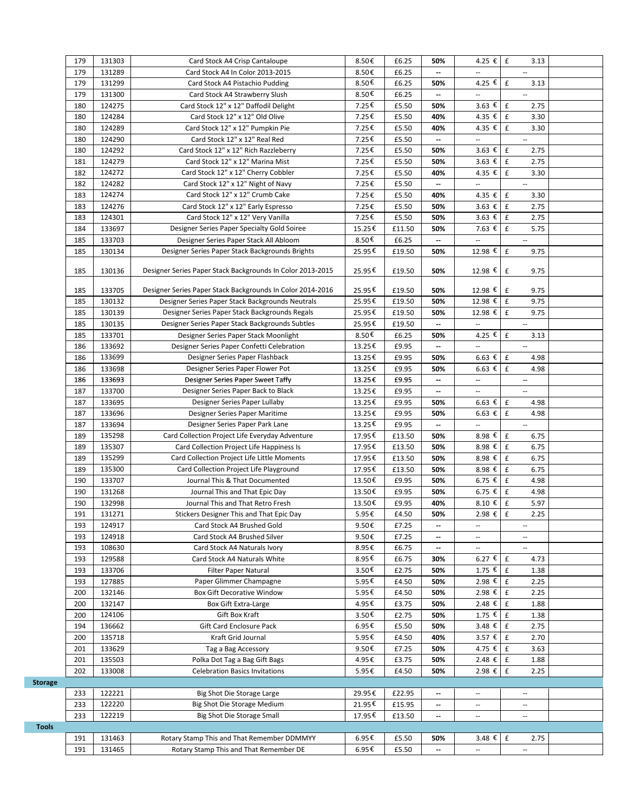|                | 179        | 131303 | Card Stock A4 Crisp Cantaloupe                             | 8.50€  | £6.25          | 50%                      | 4.25 € E                   | 3.13                       |  |
|----------------|------------|--------|------------------------------------------------------------|--------|----------------|--------------------------|----------------------------|----------------------------|--|
|                | 179        | 131289 | Card Stock A4 In Color 2013-2015                           | 8.50€  | £6.25          | $\overline{\phantom{a}}$ |                            |                            |  |
|                | 179        | 131299 | Card Stock A4 Pistachio Pudding                            | 8.50€  | £6.25          | 50%                      | 4.25 €                     | £<br>3.13                  |  |
|                | 179        | 131300 | Card Stock A4 Strawberry Slush                             | 8.50€  | £6.25          | $\overline{\phantom{a}}$ | $\overline{a}$             | u,                         |  |
|                | 180        | 124275 | Card Stock 12" x 12" Daffodil Delight                      | 7.25€  | £5.50          | 50%                      | $3.63$ €                   | $\mathbf{f}$<br>2.75       |  |
|                |            | 124284 |                                                            | 7.25€  |                | 40%                      | 4.35 €                     | £                          |  |
|                | 180        |        | Card Stock 12" x 12" Old Olive                             |        | £5.50          |                          |                            | 3.30                       |  |
|                | 180        | 124289 | Card Stock 12" x 12" Pumpkin Pie                           | 7.25€  | £5.50          | 40%                      | 4.35 €                     | $\mathbf f$<br>3.30        |  |
|                | 180        | 124290 | Card Stock 12" x 12" Real Red                              | 7.25€  | £5.50          | $\overline{\phantom{a}}$ | --                         | $\overline{\phantom{a}}$   |  |
|                | 180        | 124292 | Card Stock 12" x 12" Rich Razzleberry                      | 7.25€  | £5.50          | 50%                      | $3.63$ €                   | $\pounds$<br>2.75          |  |
|                | 181        | 124279 | Card Stock 12" x 12" Marina Mist                           | 7.25€  | £5.50          | 50%                      | $3.63$ €                   | £<br>2.75                  |  |
|                | 182        | 124272 | Card Stock 12" x 12" Cherry Cobbler                        | 7.25€  | £5.50          | 40%                      | 4.35 €                     | £<br>3.30                  |  |
|                | 182        | 124282 | Card Stock 12" x 12" Night of Navy                         | 7.25€  | £5.50          | $\overline{\phantom{a}}$ | --                         | $\overline{\phantom{a}}$   |  |
|                | 183        | 124274 | Card Stock 12" x 12" Crumb Cake                            | 7.25€  | £5.50          | 40%                      | 4.35 €                     | £<br>3.30                  |  |
|                | 183        | 124276 | Card Stock 12" x 12" Early Espresso                        | 7.25€  | £5.50          | 50%                      | 3.63 $\epsilon$            | £<br>2.75                  |  |
|                | 183        | 124301 | Card Stock 12" x 12" Very Vanilla                          | 7.25€  | £5.50          | 50%                      | 3.63 $\overline{\epsilon}$ | $\,$ f<br>2.75             |  |
|                | 184        | 133697 | Designer Series Paper Specialty Gold Soiree                | 15.25€ | £11.50         | 50%                      | 7.63 €                     | $\pounds$<br>5.75          |  |
|                | 185        | 133703 | Designer Series Paper Stack All Abloom                     | 8.50€  | £6.25          | $\overline{\phantom{a}}$ | --                         | $\overline{\phantom{a}}$   |  |
|                | 185        | 130134 | Designer Series Paper Stack Backgrounds Brights            | 25.95€ | £19.50         | 50%                      | 12.98 €                    | $\mathbf f$<br>9.75        |  |
|                |            |        |                                                            |        |                |                          |                            |                            |  |
|                | 185        | 130136 | Designer Series Paper Stack Backgrounds In Color 2013-2015 | 25.95€ | £19.50         | 50%                      | 12.98 €                    | £<br>9.75                  |  |
|                |            |        |                                                            |        |                |                          |                            |                            |  |
|                | 185        | 133705 | Designer Series Paper Stack Backgrounds In Color 2014-2016 | 25.95€ | £19.50         | 50%                      | 12.98 €                    | £<br>9.75                  |  |
|                | 185        | 130132 | Designer Series Paper Stack Backgrounds Neutrals           | 25.95€ | £19.50         | 50%                      | 12.98 €                    | £<br>9.75                  |  |
|                | 185        | 130139 | Designer Series Paper Stack Backgrounds Regals             | 25.95€ | £19.50         | 50%                      | 12.98 €                    | $\mathbf f$<br>9.75        |  |
|                | 185        | 130135 | Designer Series Paper Stack Backgrounds Subtles            | 25.95€ | £19.50         | $\overline{\phantom{a}}$ |                            | $\overline{\phantom{a}}$   |  |
|                | 185        | 133701 | Designer Series Paper Stack Moonlight                      | 8.50€  | £6.25          | 50%                      | 4.25 €                     | £<br>3.13                  |  |
|                | 186        | 133692 | Designer Series Paper Confetti Celebration                 | 13.25€ | £9.95          | $\overline{\phantom{a}}$ | --                         | $\overline{\phantom{a}}$   |  |
|                | 186        | 133699 | Designer Series Paper Flashback                            | 13.25€ | £9.95          | 50%                      | 6.63 $\epsilon$            | $\mathbf{f}$<br>4.98       |  |
|                | 186        | 133698 | Designer Series Paper Flower Pot                           | 13.25€ | £9.95          | 50%                      | $6.63$ €                   | $\mathbf f$<br>4.98        |  |
|                | 186        | 133693 | Designer Series Paper Sweet Taffy                          | 13.25€ | £9.95          | $\overline{\phantom{a}}$ | --                         | $\overline{\phantom{a}}$   |  |
|                | 187        | 133700 | Designer Series Paper Back to Black                        | 13.25€ | £9.95          |                          | --                         | $\overline{\phantom{a}}$   |  |
|                | 187        | 133695 | Designer Series Paper Lullaby                              | 13.25€ | £9.95          | 50%                      | $6.63 \epsilon$            | $\,$ f<br>4.98             |  |
|                | 187        | 133696 | Designer Series Paper Maritime                             |        | £9.95          | 50%                      | $6.63 \epsilon$            | $\mathbf f$<br>4.98        |  |
|                |            |        |                                                            | 13.25€ |                |                          |                            |                            |  |
|                | 187        | 133694 | Designer Series Paper Park Lane                            | 13.25€ | £9.95          | $\overline{\phantom{a}}$ | --                         | $\overline{\phantom{a}}$   |  |
|                | 189        | 135298 | Card Collection Project Life Everyday Adventure            | 17.95€ | £13.50         | 50%                      | 8.98 €                     | $\mathbf f$<br>6.75        |  |
|                | 189        | 135307 | Card Collection Project Life Happiness Is                  | 17.95€ | £13.50         | 50%                      | 8.98 €                     | $\mathbf f$<br>6.75        |  |
|                | 189        | 135299 | Card Collection Project Life Little Moments                | 17.95€ | £13.50         | 50%                      | 8.98 €                     | $\pmb{\mathsf{f}}$<br>6.75 |  |
|                | 189        | 135300 | Card Collection Project Life Playground                    | 17.95€ | £13.50         | 50%                      | 8.98 $\epsilon$            | $\pounds$<br>6.75          |  |
|                | 190        | 133707 | Journal This & That Documented                             | 13.50€ | £9.95          | 50%                      | 6.75 €                     | $\mathbf f$<br>4.98        |  |
|                | 190        | 131268 | Journal This and That Epic Day                             | 13.50€ | £9.95          | 50%                      | 6.75 €                     | $\pounds$<br>4.98          |  |
|                | 190        | 132998 | Journal This and That Retro Fresh                          | 13.50€ | £9.95          | 40%                      | 8.10 €                     | $\mathbf{f}$<br>5.97       |  |
|                | 191        | 131271 | Stickers Designer This and That Epic Day                   | 5.95€  | £4.50          | 50%                      | $2.98 €$ £                 | 2.25                       |  |
|                | 193        | 124917 | Card Stock A4 Brushed Gold                                 | 9.50€  | £7.25          | $\overline{\phantom{a}}$ | --                         | $\overline{\phantom{a}}$   |  |
|                | 193        | 124918 | Card Stock A4 Brushed Silver                               | 9.50€  | £7.25          | --                       | --                         | $\overline{\phantom{a}}$   |  |
|                | 193        | 108630 | Card Stock A4 Naturals Ivory                               | 8.95€  | £6.75          | $\overline{\phantom{a}}$ | н.                         | $\overline{\phantom{a}}$   |  |
|                | 193        | 129588 | Card Stock A4 Naturals White                               | 8.95€  | £6.75          | 30%                      | $6.27$ €                   | $\mathbf f$<br>4.73        |  |
|                | 193        | 133706 | <b>Filter Paper Natural</b>                                | 3.50€  | £2.75          | 50%                      | $1.75 \in$   £             | 1.38                       |  |
|                | 193        | 127885 | Paper Glimmer Champagne                                    | 5.95€  | £4.50          | 50%                      | 2.98 €                     | £<br>2.25                  |  |
|                | 200        | 132146 | <b>Box Gift Decorative Window</b>                          | 5.95€  | £4.50          | 50%                      | 2.98 €                     | $\mathbf f$<br>2.25        |  |
|                | 200        | 132147 | Box Gift Extra-Large                                       | 4.95€  | £3.75          | 50%                      | 2.48 €                     | $\mathbf f$<br>1.88        |  |
|                |            | 124106 | Gift Box Kraft                                             | 3.50€  |                |                          | $1.75$ €                   | $\mathbf f$                |  |
|                | 200<br>194 | 136662 | Gift Card Enclosure Pack                                   | 6.95€  | £2.75<br>£5.50 | 50%<br>50%               | $3.48 \t∈$ £               | 1.38<br>2.75               |  |
|                |            |        |                                                            |        |                |                          |                            |                            |  |
|                | 200        | 135718 | Kraft Grid Journal                                         | 5.95€  | £4.50          | 40%                      | 3.57 €                     | £<br>2.70                  |  |
|                | 201        | 133629 | Tag a Bag Accessory                                        | 9.50€  | £7.25          | 50%                      | 4.75 €                     | £<br>3.63                  |  |
|                | 201        | 135503 | Polka Dot Tag a Bag Gift Bags                              | 4.95€  | £3.75          | 50%                      | 2.48 €                     | £<br>1.88                  |  |
|                | 202        | 133008 | <b>Celebration Basics Invitations</b>                      | 5.95€  | £4.50          | 50%                      | 2.98 €                     | £<br>2.25                  |  |
| <b>Storage</b> |            |        |                                                            |        |                |                          |                            |                            |  |
|                | 233        | 122221 | Big Shot Die Storage Large                                 | 29.95€ | £22.95         | $\overline{\phantom{a}}$ | --                         | $\overline{\phantom{a}}$   |  |
|                |            |        |                                                            |        |                |                          |                            |                            |  |
|                | 233        | 122220 | Big Shot Die Storage Medium                                | 21.95€ | £15.95         |                          | --                         |                            |  |
|                | 233        | 122219 | Big Shot Die Storage Small                                 | 17.95€ | £13.50         | --                       | Ξ.                         | $\overline{\phantom{a}}$   |  |
| <b>Tools</b>   |            |        |                                                            |        |                |                          |                            |                            |  |
|                | 191        | 131463 | Rotary Stamp This and That Remember DDMMYY                 | 6.95€  | £5.50          | 50%                      | $3.48 \t∈$                 | £<br>2.75                  |  |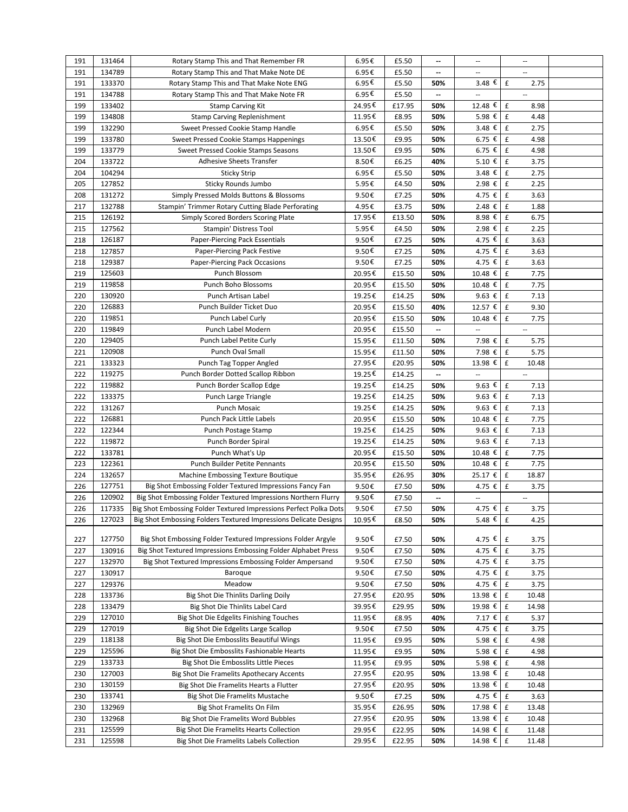| 191 | 131464 | Rotary Stamp This and That Remember FR                            | 6.95€  | £5.50  | −   | $\overline{\phantom{a}}$ | $\overline{\phantom{a}}$    |  |
|-----|--------|-------------------------------------------------------------------|--------|--------|-----|--------------------------|-----------------------------|--|
| 191 | 134789 | Rotary Stamp This and That Make Note DE                           | 6.95€  | £5.50  | --  |                          |                             |  |
| 191 | 133370 | Rotary Stamp This and That Make Note ENG                          | 6.95€  | £5.50  | 50% | $3.48 \t€$               | $\mathbf f$<br>2.75         |  |
| 191 | 134788 | Rotary Stamp This and That Make Note FR                           | 6.95€  | £5.50  | --  | $\overline{\phantom{a}}$ | $\overline{\phantom{a}}$    |  |
| 199 | 133402 | <b>Stamp Carving Kit</b>                                          | 24.95€ | £17.95 | 50% | 12.48 €                  | £<br>8.98                   |  |
| 199 | 134808 | <b>Stamp Carving Replenishment</b>                                | 11.95€ | £8.95  | 50% | 5.98 €                   | £<br>4.48                   |  |
| 199 | 132290 | Sweet Pressed Cookie Stamp Handle                                 | 6.95€  | £5.50  | 50% | 3.48 $\epsilon$          | £<br>2.75                   |  |
| 199 | 133780 | Sweet Pressed Cookie Stamps Happenings                            | 13.50€ | £9.95  | 50% | 6.75 €                   | £<br>4.98                   |  |
| 199 | 133779 | Sweet Pressed Cookie Stamps Seasons                               | 13.50€ | £9.95  | 50% | $6.75$ €                 | £<br>4.98                   |  |
| 204 | 133722 | <b>Adhesive Sheets Transfer</b>                                   | 8.50€  | £6.25  | 40% | 5.10 €                   | £<br>3.75                   |  |
| 204 | 104294 | <b>Sticky Strip</b>                                               | 6.95€  | £5.50  | 50% | 3.48 €                   | £<br>2.75                   |  |
| 205 | 127852 | Sticky Rounds Jumbo                                               | 5.95€  | £4.50  | 50% | 2.98 €                   | £<br>2.25                   |  |
| 208 | 131272 | Simply Pressed Molds Buttons & Blossoms                           | 9.50€  | £7.25  | 50% | 4.75 €                   | $\pmb{\mathsf{f}}$<br>3.63  |  |
| 217 | 132788 | Stampin' Trimmer Rotary Cutting Blade Perforating                 | 4.95€  | £3.75  | 50% | 2.48 €                   | £<br>1.88                   |  |
| 215 | 126192 | Simply Scored Borders Scoring Plate                               | 17.95€ | £13.50 | 50% | 8.98 €                   | £<br>6.75                   |  |
| 215 | 127562 | Stampin' Distress Tool                                            | 5.95€  | £4.50  | 50% | 2.98 €                   | £<br>2.25                   |  |
| 218 | 126187 | Paper-Piercing Pack Essentials                                    | 9.50€  | £7.25  | 50% | 4.75 €                   | £<br>3.63                   |  |
| 218 | 127857 | Paper-Piercing Pack Festive                                       | 9.50€  | £7.25  | 50% | 4.75 €                   | £<br>3.63                   |  |
| 218 | 129387 | Paper-Piercing Pack Occasions                                     | 9.50€  | £7.25  | 50% | 4.75 €                   | £<br>3.63                   |  |
| 219 | 125603 | Punch Blossom                                                     | 20.95€ | £15.50 | 50% | 10.48 €                  | £<br>7.75                   |  |
| 219 | 119858 | Punch Boho Blossoms                                               | 20.95€ | £15.50 | 50% | 10.48 €                  | £<br>7.75                   |  |
| 220 | 130920 | Punch Artisan Label                                               | 19.25€ | £14.25 | 50% | 9.63 $\epsilon$          | $\pmb{\mathsf{f}}$<br>7.13  |  |
| 220 | 126883 | Punch Builder Ticket Duo                                          | 20.95€ | £15.50 | 40% | 12.57 €                  | $\pmb{\mathsf{f}}$<br>9.30  |  |
| 220 | 119851 | Punch Label Curly                                                 | 20.95€ | £15.50 | 50% | 10.48 €                  | £<br>7.75                   |  |
| 220 | 119849 | Punch Label Modern                                                | 20.95€ | £15.50 | --  |                          | $\overline{\phantom{a}}$    |  |
| 220 | 129405 | Punch Label Petite Curly                                          | 15.95€ | £11.50 | 50% | 7.98 €                   | $\pmb{\mathsf{f}}$<br>5.75  |  |
| 221 | 120908 | Punch Oval Small                                                  | 15.95€ | £11.50 | 50% | 7.98 €                   | $\pmb{\mathsf{f}}$<br>5.75  |  |
| 221 | 133323 | Punch Tag Topper Angled                                           | 27.95€ | £20.95 | 50% | 13.98 €                  | $\pmb{\mathsf{f}}$<br>10.48 |  |
| 222 | 119275 | Punch Border Dotted Scallop Ribbon                                | 19.25€ | £14.25 | --  | $\overline{\phantom{a}}$ | $\overline{\phantom{a}}$    |  |
| 222 | 119882 | Punch Border Scallop Edge                                         | 19.25€ | £14.25 | 50% | 9.63 $\epsilon$          | £<br>7.13                   |  |
| 222 | 133375 | Punch Large Triangle                                              | 19.25€ | £14.25 | 50% | 9.63 €                   | $\pmb{\mathsf{f}}$<br>7.13  |  |
| 222 | 131267 | Punch Mosaic                                                      | 19.25€ | £14.25 | 50% | 9.63 $\epsilon$          | £<br>7.13                   |  |
| 222 | 126881 | Punch Pack Little Labels                                          | 20.95€ | £15.50 | 50% | 10.48 €                  | $\pmb{\mathsf{f}}$<br>7.75  |  |
| 222 | 122344 | Punch Postage Stamp                                               | 19.25€ | £14.25 | 50% | 9.63 $\epsilon$          | £<br>7.13                   |  |
| 222 | 119872 | Punch Border Spiral                                               | 19.25€ | £14.25 | 50% | $9.63$ €                 | $\pmb{\mathsf{f}}$<br>7.13  |  |
| 222 | 133781 | Punch What's Up                                                   | 20.95€ | £15.50 | 50% | 10.48 €                  | $\pmb{\mathsf{f}}$<br>7.75  |  |
| 223 | 122361 | Punch Builder Petite Pennants                                     | 20.95€ | £15.50 | 50% | 10.48 €                  | $\pmb{\mathsf{f}}$<br>7.75  |  |
| 224 | 132657 | Machine Embossing Texture Boutique                                | 35.95€ | £26.95 | 30% | 25.17 €                  | $\pmb{\mathsf{f}}$<br>18.87 |  |
| 226 | 127751 | Big Shot Embossing Folder Textured Impressions Fancy Fan          | 9.50€  | £7.50  | 50% | 4.75 €                   | £<br>3.75                   |  |
| 226 | 120902 | Big Shot Embossing Folder Textured Impressions Northern Flurry    | 9.50€  | £7.50  | --  | $\overline{\phantom{a}}$ | $\overline{\phantom{a}}$    |  |
| 226 | 117335 | Big Shot Embossing Folder Textured Impressions Perfect Polka Dots | 9.50€  | £7.50  | 50% | 4.75 €                   | $\pmb{\mathsf{f}}$<br>3.75  |  |
| 226 | 127023 | Big Shot Embossing Folders Textured Impressions Delicate Designs  | 10.95€ | £8.50  | 50% | 5.48 € f                 | 4.25                        |  |
|     |        |                                                                   |        |        |     |                          |                             |  |
| 227 | 127750 | Big Shot Embossing Folder Textured Impressions Folder Argyle      | 9.50€  | £7.50  | 50% | 4.75 €                   | 3.75<br>£                   |  |
| 227 | 130916 | Big Shot Textured Impressions Embossing Folder Alphabet Press     | 9.50€  | £7.50  | 50% | 4.75 €                   | $\pmb{\mathsf{f}}$<br>3.75  |  |
| 227 | 132970 | Big Shot Textured Impressions Embossing Folder Ampersand          | 9.50€  | £7.50  | 50% | 4.75 €                   | £<br>3.75                   |  |
| 227 | 130917 | Baroque                                                           | 9.50€  | £7.50  | 50% | 4.75 €                   | £<br>3.75                   |  |
| 227 | 129376 | Meadow                                                            | 9.50€  | £7.50  | 50% | 4.75 €                   | £<br>3.75                   |  |
| 228 | 133736 | Big Shot Die Thinlits Darling Doily                               | 27.95€ | £20.95 | 50% | 13.98 €                  | £<br>10.48                  |  |
| 228 | 133479 | Big Shot Die Thinlits Label Card                                  | 39.95€ | £29.95 | 50% | 19.98 €                  | £<br>14.98                  |  |
| 229 | 127010 | Big Shot Die Edgelits Finishing Touches                           | 11.95€ | £8.95  | 40% | 7.17€                    | $\mathbf f$<br>5.37         |  |
| 229 | 127019 | Big Shot Die Edgelits Large Scallop                               | 9.50€  | £7.50  | 50% | 4.75 €                   | £<br>3.75                   |  |
| 229 | 118138 | Big Shot Die Embosslits Beautiful Wings                           | 11.95€ | £9.95  | 50% | 5.98 €                   | £<br>4.98                   |  |
| 229 | 125596 | Big Shot Die Embosslits Fashionable Hearts                        | 11.95€ | £9.95  | 50% | 5.98 €                   | £<br>4.98                   |  |
| 229 | 133733 | Big Shot Die Embosslits Little Pieces                             | 11.95€ | £9.95  | 50% | 5.98 €                   | £<br>4.98                   |  |
| 230 | 127003 | Big Shot Die Framelits Apothecary Accents                         | 27.95€ | £20.95 | 50% | 13.98 €                  | £<br>10.48                  |  |
| 230 | 130159 | Big Shot Die Framelits Hearts a Flutter                           | 27.95€ | £20.95 | 50% | 13.98 €                  | £<br>10.48                  |  |
| 230 | 133741 | Big Shot Die Framelits Mustache                                   | 9.50€  | £7.25  | 50% | 4.75 €                   | £<br>3.63                   |  |
| 230 | 132969 | Big Shot Framelits On Film                                        | 35.95€ | £26.95 | 50% | 17.98 €                  | £<br>13.48                  |  |
| 230 | 132968 | Big Shot Die Framelits Word Bubbles                               | 27.95€ | £20.95 | 50% | 13.98 €                  | £<br>10.48                  |  |
| 231 | 125599 | Big Shot Die Framelits Hearts Collection                          | 29.95€ | £22.95 | 50% | 14.98 €                  | £<br>11.48                  |  |
| 231 | 125598 | Big Shot Die Framelits Labels Collection                          | 29.95€ | £22.95 | 50% | 14.98 €                  | £<br>11.48                  |  |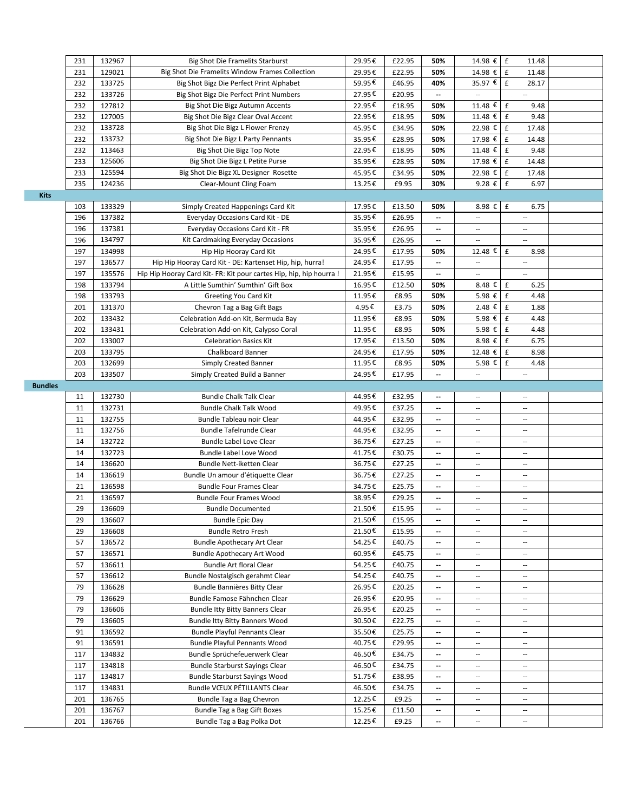|                | 231        | 132967           | Big Shot Die Framelits Starburst                                    | 29.95€           | £22.95          | 50%                      | 14.98 € £                                            | 11.48                       |  |
|----------------|------------|------------------|---------------------------------------------------------------------|------------------|-----------------|--------------------------|------------------------------------------------------|-----------------------------|--|
|                | 231        | 129021           | Big Shot Die Framelits Window Frames Collection                     | 29.95€           | £22.95          | 50%                      | 14.98 € E                                            | 11.48                       |  |
|                | 232        | 133725           | Big Shot Bigz Die Perfect Print Alphabet                            | 59.95€           | £46.95          | 40%                      | 35.97 €                                              | £<br>28.17                  |  |
|                | 232        | 133726           | Big Shot Bigz Die Perfect Print Numbers                             | 27.95€           | £20.95          | --                       |                                                      | Ξ.                          |  |
|                | 232        | 127812           | Big Shot Die Bigz Autumn Accents                                    | 22.95€           | £18.95          | 50%                      | 11.48 €                                              | $\pmb{\mathsf{f}}$<br>9.48  |  |
|                | 232        | 127005           | Big Shot Die Bigz Clear Oval Accent                                 | 22.95€           | £18.95          | 50%                      | 11.48 €                                              | £<br>9.48                   |  |
|                | 232        | 133728           | Big Shot Die Bigz L Flower Frenzy                                   | 45.95€           | £34.95          | 50%                      | 22.98 €                                              | £<br>17.48                  |  |
|                | 232        | 133732           | Big Shot Die Bigz L Party Pennants                                  | 35.95€           | £28.95          | 50%                      | 17.98 €                                              | £<br>14.48                  |  |
|                | 232        | 113463           | Big Shot Die Bigz Top Note                                          | 22.95€           | £18.95          | 50%                      | 11.48 €                                              | £<br>9.48                   |  |
|                | 233        | 125606           | Big Shot Die Bigz L Petite Purse                                    | 35.95€           | £28.95          | 50%                      | 17.98 €                                              | $\pmb{\mathsf{f}}$<br>14.48 |  |
|                | 233        | 125594           | Big Shot Die Bigz XL Designer Rosette                               | 45.95€           | £34.95          | 50%                      | 22.98 €                                              | £<br>17.48                  |  |
|                | 235        | 124236           | Clear-Mount Cling Foam                                              | 13.25€           | £9.95           | 30%                      | 9.28€                                                | £<br>6.97                   |  |
| <b>Kits</b>    |            |                  |                                                                     |                  |                 |                          |                                                      |                             |  |
|                | 103        | 133329           | Simply Created Happenings Card Kit                                  | 17.95€           | £13.50          | 50%                      | 8.98€                                                | $\pmb{\mathsf{f}}$<br>6.75  |  |
|                | 196        | 137382           | Everyday Occasions Card Kit - DE                                    | 35.95€           | £26.95          | --                       |                                                      | --                          |  |
|                | 196        | 137381           | Everyday Occasions Card Kit - FR                                    | 35.95€           | £26.95          | $\overline{\phantom{a}}$ | $\overline{\phantom{a}}$                             | Ξ.                          |  |
|                | 196        | 134797           | Kit Cardmaking Everyday Occasions                                   | 35.95€           | £26.95          | $\overline{\phantom{a}}$ | $\overline{\phantom{a}}$                             | Ξ.                          |  |
|                | 197        | 134998           | Hip Hip Hooray Card Kit                                             | 24.95€           | £17.95          | 50%                      | 12.48 €                                              | £<br>8.98                   |  |
|                | 197        | 136577           | Hip Hip Hooray Card Kit - DE: Kartenset Hip, hip, hurra!            | 24.95€           | £17.95          | $\overline{\phantom{a}}$ | $\overline{\phantom{a}}$                             | $\overline{\phantom{a}}$    |  |
|                | 197        | 135576           | Hip Hip Hooray Card Kit- FR: Kit pour cartes Hip, hip, hip hourra ! | 21.95€           | £15.95          | $\overline{\phantom{a}}$ | $\overline{\phantom{a}}$                             | Ξ.                          |  |
|                | 198        | 133794           | A Little Sumthin' Sumthin' Gift Box                                 | 16.95€           | £12.50          | 50%                      | 8.48 €                                               | £<br>6.25                   |  |
|                | 198        | 133793           | Greeting You Card Kit                                               | 11.95€           | £8.95           | 50%                      | 5.98 €                                               | £<br>4.48                   |  |
|                | 201        | 131370           | Chevron Tag a Bag Gift Bags                                         | 4.95€            | £3.75           | 50%                      | 2.48 €                                               | £<br>1.88                   |  |
|                | 202        | 133432           | Celebration Add-on Kit, Bermuda Bay                                 | 11.95€           | £8.95           | 50%                      | 5.98 €                                               | £<br>4.48                   |  |
|                | 202        | 133431           | Celebration Add-on Kit, Calypso Coral                               | 11.95€           | £8.95           | 50%                      | 5.98 €                                               | £<br>4.48                   |  |
|                | 202        | 133007           | <b>Celebration Basics Kit</b>                                       | 17.95€           | £13.50          | 50%                      | 8.98 €                                               | £<br>6.75                   |  |
|                | 203        | 133795           | Chalkboard Banner                                                   | 24.95€           | £17.95          | 50%                      | 12.48 €                                              | $\pmb{\mathsf{f}}$<br>8.98  |  |
|                | 203        | 132699           | Simply Created Banner                                               | 11.95€           | £8.95           | 50%                      | 5.98 €                                               | £<br>4.48                   |  |
|                | 203        | 133507           | Simply Created Build a Banner                                       | 24.95€           | £17.95          | --                       | $\overline{\phantom{a}}$                             | $\overline{\phantom{a}}$    |  |
| <b>Bundles</b> |            |                  |                                                                     |                  |                 |                          |                                                      |                             |  |
|                | 11         | 132730           | <b>Bundle Chalk Talk Clear</b>                                      | 44.95€           | £32.95          | $\overline{\phantom{a}}$ | $\overline{\phantom{a}}$                             | $-$                         |  |
|                | 11         | 132731           | <b>Bundle Chalk Talk Wood</b>                                       | 49.95€           | £37.25          | --                       | $\overline{\phantom{a}}$                             | --                          |  |
|                | 11         | 132755           | Bundle Tableau noir Clear                                           | 44.95€           | £32.95          | $\overline{\phantom{a}}$ | $\overline{\phantom{a}}$                             | $\overline{\phantom{a}}$    |  |
|                | 11         | 132756           | Bundle Tafelrunde Clear                                             | 44.95€           | £32.95          | $\overline{\phantom{a}}$ | $\overline{\phantom{a}}$                             | $\overline{\phantom{a}}$    |  |
|                | 14         | 132722           | Bundle Label Love Clear                                             | 36.75€           | £27.25          | $\overline{\phantom{a}}$ | $\sim$                                               | $\sim$ $\sim$               |  |
|                | 14         | 132723           | Bundle Label Love Wood                                              | 41.75€           | £30.75          | --                       | $\overline{\phantom{a}}$                             | $\overline{a}$              |  |
|                | 14         | 136620           | Bundle Nett-iketten Clear                                           | 36.75€           | £27.25          | $\overline{\phantom{a}}$ | $\overline{\phantom{a}}$                             | $\overline{\phantom{a}}$    |  |
|                | 14         | 136619           | Bundle Un amour d'étiquette Clear                                   | 36.75€           | £27.25          | $\overline{\phantom{a}}$ | $\sim$                                               | $-$                         |  |
|                | 21         | 136598           | <b>Bundle Four Frames Clear</b>                                     | 34.75€           | £25.75          | $\overline{\phantom{a}}$ | $\overline{\phantom{a}}$                             | --                          |  |
|                | 21         | 136597           | <b>Bundle Four Frames Wood</b>                                      | 38.95€           | £29.25          | $\overline{\phantom{a}}$ | $\overline{\phantom{a}}$                             | $\overline{\phantom{a}}$    |  |
|                | 29         | 136609           | <b>Bundle Documented</b>                                            | 21.50€           | £15.95          | $\overline{\phantom{a}}$ | $\overline{\phantom{a}}$                             | $\overline{\phantom{a}}$    |  |
|                | 29         | 136607           | <b>Bundle Epic Day</b>                                              | 21.50€           | £15.95          | $\overline{\phantom{a}}$ | $\overline{\phantom{a}}$                             | $-$                         |  |
|                | 29         | 136608           | <b>Bundle Retro Fresh</b>                                           | 21.50€           | £15.95          |                          |                                                      |                             |  |
|                | 57         | 136572           | <b>Bundle Apothecary Art Clear</b>                                  | 54.25€           | £40.75          | $\overline{\phantom{a}}$ | $\overline{\phantom{a}}$                             | Ξ.                          |  |
|                | 57         | 136571           | <b>Bundle Apothecary Art Wood</b>                                   | 60.95€           | £45.75          | $\overline{\phantom{a}}$ | $\overline{\phantom{a}}$                             | $\overline{\phantom{a}}$    |  |
|                | 57         | 136611           | <b>Bundle Art floral Clear</b>                                      | 54.25€           | £40.75          | $\overline{\phantom{a}}$ | $\overline{\phantom{a}}$                             | $\overline{\phantom{a}}$    |  |
|                | 57         | 136612           | Bundle Nostalgisch gerahmt Clear                                    | 54.25€           | £40.75          | $\overline{\phantom{a}}$ | $\overline{\phantom{a}}$                             | $\overline{\phantom{a}}$    |  |
|                | 79         | 136628           | Bundle Bannières Bitty Clear                                        | 26.95€           | £20.25          | $\overline{\phantom{a}}$ | $\overline{\phantom{a}}$                             | $\overline{\phantom{a}}$    |  |
|                | 79         | 136629           | Bundle Famose Fähnchen Clear                                        | 26.95€           | £20.95          | $\overline{\phantom{a}}$ | $\sim$                                               | $-$                         |  |
|                | 79         | 136606           | <b>Bundle Itty Bitty Banners Clear</b>                              | 26.95€           | £20.25          | $\overline{\phantom{a}}$ | $\overline{\phantom{a}}$                             | $\overline{\phantom{a}}$    |  |
|                | 79         | 136605           | Bundle Itty Bitty Banners Wood                                      | 30.50€           | £22.75          | --                       | $\overline{\phantom{a}}$                             | $\overline{\phantom{a}}$    |  |
|                | 91         | 136592           | Bundle Playful Pennants Clear                                       | 35.50€           | £25.75          | $\overline{\phantom{a}}$ | $\overline{\phantom{a}}$                             | ٠.                          |  |
|                | 91         | 136591           | Bundle Playful Pennants Wood                                        | 40.75€           | £29.95          | $\overline{\phantom{a}}$ | $\overline{\phantom{a}}$                             | --                          |  |
|                | 117        | 134832           | Bundle Sprüchefeuerwerk Clear                                       | 46.50€           | £34.75          | --                       | $\overline{\phantom{a}}$                             | --                          |  |
|                | 117        | 134818           | <b>Bundle Starburst Sayings Clear</b>                               | 46.50€           | £34.75          | $\overline{\phantom{a}}$ | $\overline{\phantom{a}}$                             | Ξ.                          |  |
|                | 117        | 134817           | <b>Bundle Starburst Sayings Wood</b>                                | 51.75€           | £38.95          | $\overline{\phantom{a}}$ | $\overline{\phantom{a}}$                             | $\overline{\phantom{a}}$    |  |
|                | 117        | 134831           | Bundle VCEUX PÉTILLANTS Clear                                       | 46.50€           | £34.75          | $\overline{\phantom{a}}$ | --                                                   | ۰.                          |  |
|                | 201        | 136765           | Bundle Tag a Bag Chevron                                            | 12.25€           | £9.25           | $\overline{\phantom{a}}$ | $\overline{\phantom{a}}$                             | $\overline{\phantom{a}}$    |  |
|                | 201<br>201 | 136767<br>136766 | Bundle Tag a Bag Gift Boxes                                         | 15.25€<br>12.25€ | £11.50<br>£9.25 | --                       | $\overline{\phantom{a}}$<br>$\overline{\phantom{a}}$ | --                          |  |
|                |            |                  | Bundle Tag a Bag Polka Dot                                          |                  |                 | --                       |                                                      |                             |  |